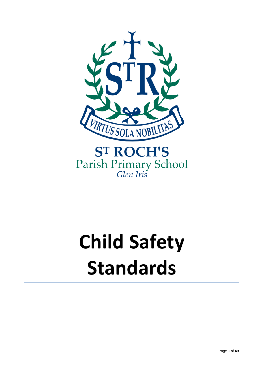

Parish Primary School<br>Glen Iris

# **Child Safety Standards**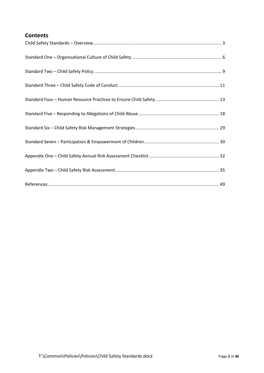#### **Contents**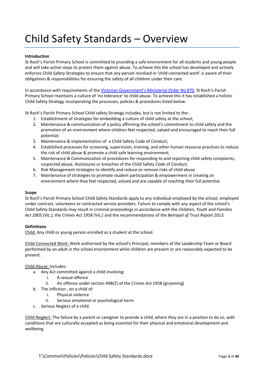# <span id="page-2-0"></span>Child Safety Standards – Overview

#### **Introduction**

St Roch's Parish Primary School is committed to providing a safe environment for all students and young people and will take active steps to protect them against abuse. To achieve this the school has developed and actively enforces Child Safety Strategies to ensure that any person involved in 'child connected work' is aware of their obligations & responsibilities for ensuring the safety of all children under their care.

In accordance with requirements of the [Victorian Government's Ministerial Order No 870,](http://www.vrqa.vic.gov.au/Documents/ChSafMINOrder8702.pdf) St Roch's Parish Primary School maintains a culture of 'no tolerance' to child abuse. To achieve this it has established a holistic Child Safety Strategy incorporating the processes, policies & procedures listed below.

St Roch's Parish Primary School Child safety Strategy includes, but is not limited to the:

- 1. Establishment of strategies for embedding a culture of child safety at the school;
- 2. Maintenance & communication of a policy affirming the school's commitment to child safety and the promotion of an environment where children feel respected, valued and encouraged to reach their full potential;
- 3. Maintenance & implementation of a Child Safety Code of Conduct;
- 4. Established processes for screening, supervision, training, and other human resource practices to reduce the risk of child abuse & promote a child safe learning environment;
- 5. Maintenance & Communication of procedures for responding to and reporting child safety complaints, suspected abuse, disclosures or breaches of the Child Safety Code of Conduct.
- 6. Risk Management strategies to identify and reduce or remove risks of child abuse
- 7. Maintenance of strategies to promote student participation & empowerment in creating an environment where they feel respected, valued and are capable of reaching their full potential.

#### **Scope**

St Roch's Parish Primary School Child Safety Standards apply to any individual employed by the school, employed under contract, volunteers or contracted service providers. Failure to comply with any aspect of the school's Child Safety Standards may result in criminal proceedings in accordance with the *Children, Youth and Families Act 2005 (Vic.),* the *Crimes Act 1958 (Vic.)* and the recommendations of the *Betrayal of Trust Report 2013.*

#### **Definitions**

Child: Any child or young person enrolled as a student at the school.

Child Connected Work: Work authorised by the school's Principal, members of the Leadership Team or Board performed by an adult in the school environment while children are present or are reasonably expected to be present.

#### Child Abuse: Includes:

- a. Any Act committed against a child involving:
	- i. A sexual offence
	- ii. An offence under section 49B(2) of the Crimes Act 1958 (grooming)
- b. The infliction , on a child of:
	- i. Physical violence
	- ii. Serious emotional or psychological harm
- c. Serious Neglect of a child.

Child Neglect: The failure by a parent or caregiver to provide a child, where they are in a position to do so, with conditions that are culturally accepted as being essential for their physical and emotional development and wellbeing.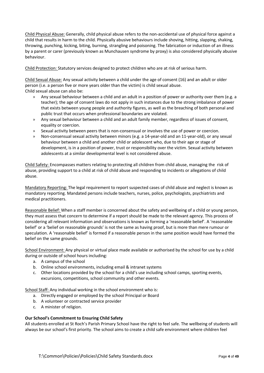Child Physical Abuse: Generally, child physical abuse refers to the non-accidental use of physical force against a child that results in harm to the child. Physically abusive behaviours include shoving, hitting, slapping, shaking, throwing, punching, kicking, biting, burning, strangling and poisoning. The fabrication or induction of an illness by a parent or carer (previously known as Munchausen syndrome by proxy) is also considered physically abusive behaviour.

Child Protection: Statutory services designed to protect children who are at risk of serious harm.

Child Sexual Abuse: Any sexual activity between a child under the age of consent (16) and an adult or older person (i.e. a person five or more years older than the victim) is child sexual abuse. Child sexual abuse can also be:

- » Any sexual behaviour between a child and an adult in a position of power or authority over them (e.g. a teacher); the age of consent laws do not apply in such instances due to the strong imbalance of power that exists between young people and authority figures, as well as the breaching of both personal and public trust that occurs when professional boundaries are violated.
- » Any sexual behaviour between a child and an adult family member, regardless of issues of consent, equality or coercion.
- » Sexual activity between peers that is non-consensual or involves the use of power or coercion.
- » Non-consensual sexual activity between minors (e.g. a 14-year-old and an 11-year-old), or any sexual behaviour between a child and another child or adolescent who, due to their age or stage of development, is in a position of power, trust or responsibility over the victim. Sexual activity between adolescents at a similar developmental level is not considered abuse.

Child Safety: Encompasses matters relating to protecting all children from child abuse, managing the risk of abuse, providing support to a child at risk of child abuse and responding to incidents or allegations of child abuse.

Mandatory Reporting: The legal requirement to report suspected cases of child abuse and neglect is known as mandatory reporting. Mandated persons include teachers, nurses, police, psychologists, psychiatrists and medical practitioners.

Reasonable Belief: When a staff member is concerned about the safety and wellbeing of a child or young person, they must assess that concern to determine if a report should be made to the relevant agency. This process of considering all relevant information and observations is known as forming a 'reasonable belief'. A 'reasonable belief' or a 'belief on reasonable grounds' is not the same as having proof, but is more than mere rumour or speculation. A 'reasonable belief' is formed if a reasonable person in the same position would have formed the belief on the same grounds.

School Environment: Any physical or virtual place made available or authorised by the school for use by a child during or outside of school hours including:

- a. A campus of the school
- b. Online school environments, including email & intranet systems
- c. Other locations provided by the school for a child's use including school camps, sporting events, excursions, competitions, school community and other events.

School Staff: Any individual working in the school environment who is:

- a. Directly engaged or employed by the school Principal or Board
- b. A volunteer or contracted service provider
- c. A minister of religion.

#### **Our School's Commitment to Ensuring Child Safety**

All students enrolled at St Roch's Parish Primary School have the right to feel safe. The wellbeing of students will always be our school's first priority. The school aims to create a child safe environment where children feel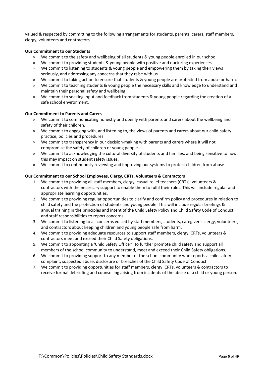valued & respected by committing to the following arrangements for students, parents, carers, staff members, clergy, volunteers and contractors.

#### **Our Commitment to our Students**

- » We commit to the safety and wellbeing of all students & young people enrolled in our school.
- » We commit to providing students & young people with positive and nurturing experiences.
- » We commit to listening to students & young people and empowering them by taking their views seriously, and addressing any concerns that they raise with us.
- » We commit to taking action to ensure that students & young people are protected from abuse or harm.
- » We commit to teaching students & young people the necessary skills and knowledge to understand and maintain their personal safety and wellbeing.
- » We commit to seeking input and feedback from students & young people regarding the creation of a safe school environment.

#### **Our Commitment to Parents and Carers**

- » We commit to communicating honestly and openly with parents and carers about the wellbeing and safety of their children.
- » We commit to engaging with, and listening to, the views of parents and carers about our child-safety practice, policies and procedures.
- » We commit to transparency in our decision-making with parents and carers where it will not compromise the safety of children or young people.
- » We commit to acknowledging the cultural diversity of students and families, and being sensitive to how this may impact on student safety issues.
- » We commit to continuously reviewing and improving our systems to protect children from abuse.

#### **Our Commitment to our School Employees, Clergy, CRTs, Volunteers & Contractors**

- 1. We commit to providing all staff members, clergy, casual relief teachers (CRTs), volunteers & contractors with the necessary support to enable them to fulfil their roles. This will include regular and appropriate learning opportunities.
- 2. We commit to providing regular opportunities to clarify and confirm policy and procedures in relation to child safety and the protection of students and young people. This will include regular briefings & annual training in the principles and intent of the Child Safety Policy and Child Safety Code of Conduct, and staff responsibilities to report concerns.
- 3. We commit to listening to all concerns voiced by staff members, students, caregiver's clergy, volunteers, and contractors about keeping children and young people safe from harm.
- 4. We commit to providing adequate resources to support staff members, clergy, CRTs, volunteers & contractors meet and exceed their Child Safety obligations.
- 5. We commit to appointing a 'Child Safety Officer', to further promote child safety and support all members of the school community to understand, meet and exceed their Child Safety obligations.
- 6. We commit to providing support to any member of the school community who reports a child safety complaint, suspected abuse, disclosure or breaches of the Child Safety Code of Conduct.
- 7. We commit to providing opportunities for staff members, clergy, CRTs, volunteers & contractors to receive formal debriefing and counselling arising from incidents of the abuse of a child or young person.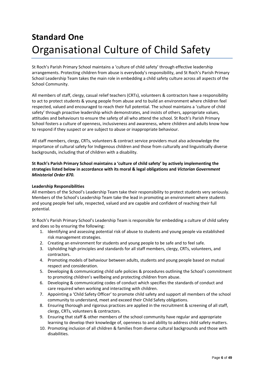## <span id="page-5-0"></span>**Standard One** Organisational Culture of Child Safety

St Roch's Parish Primary School maintains a 'culture of child safety' through effective leadership arrangements. Protecting children from abuse is everybody's responsibility, and St Roch's Parish Primary School Leadership Team takes the main role in embedding a child safety culture across all aspects of the School Community.

All members of staff, clergy, casual relief teachers (CRTs), volunteers & contractors have a responsibility to act to protect students & young people from abuse and to build an environment where children feel respected, valued and encouraged to reach their full potential. The school maintains a 'culture of child safety' through proactive leadership which demonstrates, and insists of others, appropriate values, attitudes and behaviours to ensure the safety of all who attend the school. St Roch's Parish Primary School fosters a culture of openness, inclusiveness and awareness, where children and adults know how to respond if they suspect or are subject to abuse or inappropriate behaviour.

All staff members, clergy, CRTs, volunteers & contract service providers must also acknowledge the importance of cultural safety for Indigenous children and those from culturally and linguistically diverse backgrounds, including that of children with a disability.

#### **St Roch's Parish Primary School maintains a 'culture of child safety' by actively implementing the strategies listed below in accordance with its moral & legal obligations and** *Victorian Government Ministerial Order 870.*

#### **Leadership Responsibilities**

All members of the School's Leadership Team take their responsibility to protect students very seriously. Members of the School's Leadership Team take the lead in promoting an environment where students and young people feel safe, respected, valued and are capable and confident of reaching their full potential.

St Roch's Parish Primary School's Leadership Team is responsible for embedding a culture of child safety and does so by ensuring the following:

- 1. Identifying and assessing potential risk of abuse to students and young people via established risk management strategies.
- 2. Creating an environment for students and young people to be safe and to feel safe.
- 3. Upholding high principles and standards for all staff members, clergy, CRTs, volunteers, and contractors.
- 4. Promoting models of behaviour between adults, students and young people based on mutual respect and consideration.
- 5. Developing & communicating child safe policies & procedures outlining the School's commitment to promoting children's wellbeing and protecting children from abuse.
- 6. Developing & communicating codes of conduct which specifies the standards of conduct and care required when working and interacting with children.
- 7. Appointing a 'Child Safety Officer' to promote child safety and support all members of the school community to understand, meet and exceed their Child Safety obligations.
- 8. Ensuring thorough and rigorous practices are applied in the recruitment & screening of all staff, clergy, CRTs, volunteers & contractors.
- 9. Ensuring that staff & other members of the school community have regular and appropriate learning to develop their knowledge of, openness to and ability to address child safety matters.
- 10. Promoting inclusion of all children & families from diverse cultural backgrounds and those with disabilities.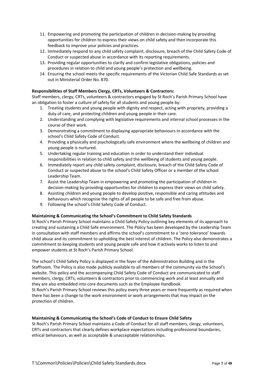- 11. Empowering and promoting the participation of children in decision-making by providing opportunities for children to express their views on child safety and then incorporate this feedback to improve your policies and practices.
- 12. Immediately respond to any child safety complaint, disclosure, breach of the Child Safety Code of Conduct or suspected abuse in accordance with its reporting requirements.
- 13. Providing regular opportunities to clarify and confirm legislative obligations, policies and procedures in relation to child and young people's protection and wellbeing.
- 14. Ensuring the school meets the specific requirements of the Victorian Child Safe Standards as set out in Ministerial Order No. 870.

#### **Responsibilities of Staff Members Clergy, CRTs, Volunteers & Contractors:**

Staff members, clergy, CRTs, volunteers & contractors engaged by St Roch's Parish Primary School have an obligation to foster a culture of safety for all students and young people by:

- 1. Treating students and young people with dignity and respect, acting with propriety, providing a duty of care, and protecting children and young people in their care.
- 2. Understanding and complying with legislative requirements and internal school processes in the course of their work.
- 3. Demonstrating a commitment to displaying appropriate behaviours in accordance with the school's Child Safety Code of Conduct.
- 4. Providing a physically and psychologically safe environment where the wellbeing of children and young people is nurtured.
- 5. Undertaking regular training and education in order to understand their individual responsibilities in relation to child safety and the wellbeing of students and young people.
- 6. Immediately report any child safety complaint, disclosure, breach of the Child Safety Code of Conduct or suspected abuse to the school's Child Safety Officer or a member of the school Leadership Team.
- 7. Assist the Leadership Team in empowering and promoting the participation of children in decision-making by providing opportunities for children to express their views on child safety.
- 8. Assisting children and young people to develop positive, responsible and caring attitudes and behaviours which recognise the rights of all people to be safe and free from abuse.
- 9. Following the school's Child Safety Code of Conduct.

#### **Maintaining & Communicating the School's Commitment to Child Safety Standards**

St Roch's Parish Primary School maintains a Child Safety Policy outlining key elements of its approach to creating and sustaining a Child Safe environment. The Policy has been developed by the Leadership Team in consultation with staff members and affirms the school's commitment to a 'zero tolerance' towards child abuse and its commitment to upholding the best interest of children. The Policy also demonstrates a commitment to keeping students and young people safe and how it actively works to listen to and empower students at St Roch's Parish Primary School.

The school's Child Safety Policy is displayed in the foyer of the Administration Building and in the Staffroom. The Policy is also made publicly available to all members of the community via the School's website. This policy and the accompanying Child Safety Code of Conduct are communicated to staff members, clergy, CRTs, volunteers & contractors prior to commencing work and at least annually and they are also embedded into core documents such as the Employee Handbook.

St Roch's Parish Primary School reviews this policy every three years or more frequently as required when there has been a change to the work environment or work arrangements that may impact on the protection of children.

#### **Maintaining & Communicating the School's Code of Conduct to Ensure Child Safety**

St Roch's Parish Primary School maintains a Code of Conduct for all staff members, clergy, volunteers, CRTs and contractors that clearly defines workplace expectations including professional boundaries, ethical behaviours, as well as acceptable & unacceptable relationships.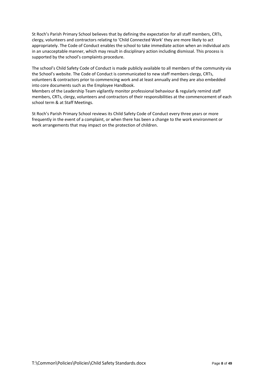St Roch's Parish Primary School believes that by defining the expectation for all staff members, CRTs, clergy, volunteers and contractors relating to 'Child Connected Work' they are more likely to act appropriately. The Code of Conduct enables the school to take immediate action when an individual acts in an unacceptable manner, which may result in disciplinary action including dismissal. This process is supported by the school's complaints procedure.

The school's Child Safety Code of Conduct is made publicly available to all members of the community via the School's website. The Code of Conduct is communicated to new staff members clergy, CRTs, volunteers & contractors prior to commencing work and at least annually and they are also embedded into core documents such as the Employee Handbook.

Members of the Leadership Team vigilantly monitor professional behaviour & regularly remind staff members, CRTs, clergy, volunteers and contractors of their responsibilities at the commencement of each school term & at Staff Meetings.

St Roch's Parish Primary School reviews its Child Safety Code of Conduct every three years or more frequently in the event of a complaint, or when there has been a change to the work environment or work arrangements that may impact on the protection of children.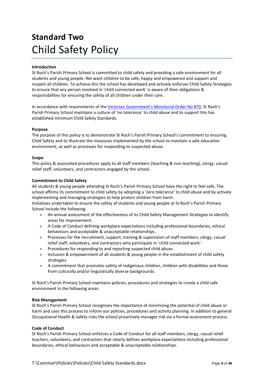### <span id="page-8-0"></span>**Standard Two** Child Safety Policy

#### **Introduction**

St Roch's Parish Primary School is committed to child safety and providing a safe environment for all students and young people. We want children to be safe, happy and empowered and support and respect all children. To achieve this the school has developed and actively enforces Child Safety Strategies to ensure that any person involved in 'child connected work' is aware of their obligations & responsibilities for ensuring the safety of all children under their care.

In accordance with requirements of the [Victorian Government's Ministerial Order No 870,](http://www.vrqa.vic.gov.au/Documents/ChSafMINOrder8702.pdf) St Roch's Parish Primary School maintains a culture of 'no tolerance' to child abuse and to support this has established minimum Child Safety Standards.

#### **Purpose**

The purpose of this policy is to demonstrate St Roch's Parish Primary School's commitment to ensuring Child Safety and to illustrate the measures implemented by the school to maintain a safe education environment, as well as processes for responding to suspected abuse.

#### **Scope**

This policy & associated procedures apply to all staff members (teaching & non-teaching), clergy, casual relief staff, volunteers, and contractors engaged by the school.

#### **Commitment to Child Safety**

All students & young people attending St Roch's Parish Primary School have the right to feel safe. The school affirms its commitment to child safety by adopting a 'zero tolerance' to child abuse and by actively implementing and managing strategies to help protect children from harm.

Initiatives undertaken to ensure the safety of students and young people at St Roch's Parish Primary School include the following:

- » An annual assessment of the effectiveness of its Child Safety Management Strategies to identify areas for improvement.
- » A Code of Conduct defining workplace expectations including professional boundaries, ethical behaviours and acceptable & unacceptable relationships.
- » Processes for the recruitment, support, training & supervision of staff members, clergy, casual relief staff, volunteers, and contractors who participate in 'child connected work'.
- » Procedures for responding to and reporting suspected child abuse.
- » Inclusion & empowerment of all students & young people in the establishment of child safety strategies.
- » A commitment that promotes safety of indigenous children, children with disabilities and those from culturally and/or linguistically diverse backgrounds.

St Roch's Parish Primary School maintains policies, procedures and strategies to create a child safe environment in the following areas:

#### **Risk Management**

St Roch's Parish Primary School recognises the importance of minimising the potential of child abuse or harm and uses this process to inform our policies, procedures and activity planning. In addition to general Occupational Health & Safety risks the school proactively manages risk via a formal assessment process.

#### **Code of Conduct**

St Roch's Parish Primary School enforces a Code of Conduct for all staff members, clergy, casual relief teachers, volunteers, and contractors that clearly defines workplace expectations including professional boundaries, ethical behaviours and acceptable & unacceptable relationships.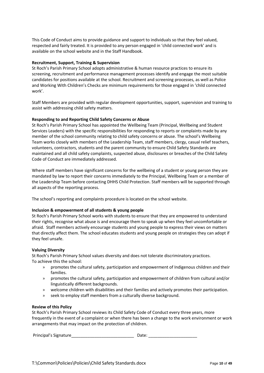This Code of Conduct aims to provide guidance and support to individuals so that they feel valued, respected and fairly treated. It is provided to any person engaged in 'child connected work' and is available on the school website and in the Staff Handbook.

#### **Recruitment, Support, Training & Supervision**

St Roch's Parish Primary School adopts administrative & human resource practices to ensure its screening, recruitment and performance management processes identify and engage the most suitable candidates for positions available at the school. Recruitment and screening processes, as well as Police and Working With Children's Checks are minimum requirements for those engaged in 'child connected work'.

Staff Members are provided with regular development opportunities, support, supervision and training to assist with addressing child safety matters.

#### **Responding to and Reporting Child Safety Concerns or Abuse**

St Roch's Parish Primary School has appointed the Wellbeing Team (Principal, Wellbeing and Student Services Leaders) with the specific responsibilities for responding to reports or complaints made by any member of the school community relating to child safety concerns or abuse. The school's Wellbeing Team works closely with members of the Leadership Team, staff members, clergy, casual relief teachers, volunteers, contractors, students and the parent community to ensure Child Safety Standards are maintained and all child safety complaints, suspected abuse, disclosures or breaches of the Child Safety Code of Conduct are immediately addressed.

Where staff members have significant concerns for the wellbeing of a student or young person they are mandated by law to report their concerns immediately to the Principal, Wellbeing Team or a member of the Leadership Team before contacting DHHS Child Protection. Staff members will be supported through all aspects of the reporting process.

The school's reporting and complaints procedure is located on the school website.

#### **Inclusion & empowerment of all students & young people**

St Roch's Parish Primary School works with students to ensure that they are empowered to understand their rights, recognise what abuse is and encourage them to speak up when they feel uncomfortable or afraid. Staff members actively encourage students and young people to express their views on matters that directly affect them. The school educates students and young people on strategies they can adopt if they feel unsafe.

#### **Valuing Diversity**

St Roch's Parish Primary School values diversity and does not tolerate discriminatory practices. To achieve this the school:

- » promotes the cultural safety, participation and empowerment of Indigenous children and their families.
- » promotes the cultural safety, participation and empowerment of children from cultural and/or linguistically different backgrounds.
- » welcome children with disabilities and their families and actively promotes their participation.
- » seek to employ staff members from a culturally diverse background.

#### **Review of this Policy**

St Roch's Parish Primary School reviews its Child Safety Code of Conduct every three years, more frequently in the event of a complaint or when there has been a change to the work environment or work arrangements that may impact on the protection of children.

Principal's Signature\_\_\_\_\_\_\_\_\_\_\_\_\_\_\_\_\_\_\_\_\_\_\_\_\_\_\_ Date: \_\_\_\_\_\_\_\_\_\_\_\_\_\_\_\_\_\_\_\_\_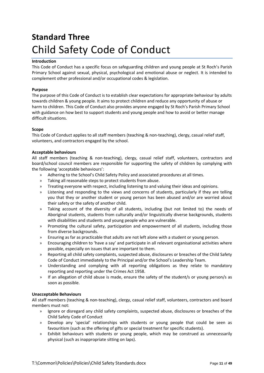### <span id="page-10-0"></span>**Standard Three** Child Safety Code of Conduct

#### **Introduction**

This Code of Conduct has a specific focus on safeguarding children and young people at St Roch's Parish Primary School against sexual, physical, psychological and emotional abuse or neglect. It is intended to complement other professional and/or occupational codes & legislation.

#### **Purpose**

The purpose of this Code of Conduct is to establish clear expectations for appropriate behaviour by adults towards children & young people. It aims to protect children and reduce any opportunity of abuse or harm to children. This Code of Conduct also provides anyone engaged by St Roch's Parish Primary School with guidance on how best to support students and young people and how to avoid or better manage difficult situations.

#### **Scope**

This Code of Conduct applies to all staff members (teaching & non-teaching), clergy, casual relief staff, volunteers, and contractors engaged by the school.

#### **Acceptable behaviours**

All staff members (teaching & non-teaching), clergy, casual relief staff, volunteers, contractors and board/school council members are responsible for supporting the safety of children by complying with the following 'acceptable behaviours':

- » Adhering to the School's Child Safety Policy and associated procedures at all times.
- » Taking all reasonable steps to protect students from abuse.
- » Treating everyone with respect, including listening to and valuing their ideas and opinions.
- » Listening and responding to the views and concerns of students, particularly if they are telling you that they or another student or young person has been abused and/or are worried about their safety or the safety of another child.
- » Taking account of the diversity of all students, including (but not limited to) the needs of Aboriginal students, students from culturally and/or linguistically diverse backgrounds, students with disabilities and students and young people who are vulnerable.
- » Promoting the cultural safety, participation and empowerment of all students, including those from diverse backgrounds.
- » Ensuring as far as practicable that adults are not left alone with a student or young person.
- » Encouraging children to 'have a say' and participate in all relevant organisational activities where possible, especially on issues that are important to them.
- » Reporting all child safety complaints, suspected abuse, disclosures or breaches of the Child Safety Code of Conduct immediately to the Principal and/or the School's Leadership Team.
- » Understanding and complying with all reporting obligations as they relate to mandatory reporting and reporting under the Crimes Act 1958.
- » If an allegation of child abuse is made, ensure the safety of the student/s or young person/s as soon as possible.

#### **Unacceptable Behaviours**

All staff members (teaching & non-teaching), clergy, casual relief staff, volunteers, contractors and board members must not:

- » Ignore or disregard any child safety complaints, suspected abuse, disclosures or breaches of the Child Safety Code of Conduct
- » Develop any 'special' relationships with students or young people that could be seen as favouritism (such as the offering of gifts or special treatment for specific students).
- » Exhibit behaviours with students or young people, which may be construed as unnecessarily physical (such as inappropriate sitting on laps).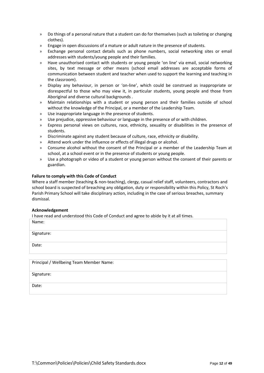- » Do things of a personal nature that a student can do for themselves (such as toileting or changing clothes).
- » Engage in open discussions of a mature or adult nature in the presence of students.
- » Exchange personal contact details such as phone numbers, social networking sites or email addresses with students/young people and their families.
- » Have unauthorised contact with students or young people 'on line' via email, social networking sites, by text message or other means (school email addresses are acceptable forms of communication between student and teacher when used to support the learning and teaching in the classroom).
- » Display any behaviour, in person or 'on-line', which could be construed as inappropriate or disrespectful to those who may view it, in particular students, young people and those from Aboriginal and diverse cultural backgrounds .
- » Maintain relationships with a student or young person and their families outside of school without the knowledge of the Principal, or a member of the Leadership Team.
- » Use inappropriate language in the presence of students.
- » Use prejudice, oppressive behaviour or language in the presence of or with children.
- » Express personal views on cultures, race, ethnicity, sexuality or disabilities in the presence of students.
- » Discriminate against any student because of culture, race, ethnicity or disability.
- » Attend work under the influence or effects of illegal drugs or alcohol.
- » Consume alcohol without the consent of the Principal or a member of the Leadership Team at school, at a school event or in the presence of students or young people.
- » Use a photograph or video of a student or young person without the consent of their parents or guardian.

#### **Failure to comply with this Code of Conduct**

Where a staff member (teaching & non-teaching), clergy, casual relief staff, volunteers, contractors and school board is suspected of breaching any obligation, duty or responsibility within this Policy, St Roch's Parish Primary School will take disciplinary action, including in the case of serious breaches, summary dismissal.

#### **Acknowledgement**

I have read and understood this Code of Conduct and agree to abide by it at all times.

| Name:                                   |  |
|-----------------------------------------|--|
| Signature:                              |  |
| Date:                                   |  |
|                                         |  |
| Principal / Wellbeing Team Member Name: |  |

Signature:

Date: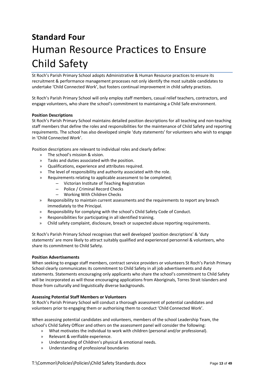# <span id="page-12-0"></span>**Standard Four** Human Resource Practices to Ensure Child Safety

St Roch's Parish Primary School adopts Administrative & Human Resource practices to ensure its recruitment & performance management processes not only identify the most suitable candidates to undertake 'Child Connected Work', but fosters continual improvement in child safety practices.

St Roch's Parish Primary School will only employ staff members, casual relief teachers, contractors, and engage volunteers, who share the school's commitment to maintaining a Child Safe environment.

#### **Position Descriptions**

St Roch's Parish Primary School maintains detailed position descriptions for all teaching and non-teaching staff members that define the roles and responsibilities for the maintenance of Child Safety and reporting requirements. The school has also developed simple 'duty statements' for volunteers who wish to engage in 'Child Connected Work'.

Position descriptions are relevant to individual roles and clearly define:

- » The school's mission & vision.
- » Tasks and duties associated with the position.
- » Qualifications, experience and attributes required.
- » The level of responsibility and authority associated with the role.
- » Requirements relating to applicable assessment to be completed;
	- ‒ Victorian Institute of Teaching Registration
	- ‒ Police / Criminal Record Checks
	- ‒ Working With Children Checks
- » Responsibility to maintain current assessments and the requirements to report any breach immediately to the Principal.
- » Responsibility for complying with the school's Child Safety Code of Conduct.
- » Responsibilities for participating in all identified training.
- » Child safety complaint, disclosure, breach or suspected abuse reporting requirements.

St Roch's Parish Primary School recognises that well developed 'position descriptions' & 'duty statements' are more likely to attract suitably qualified and experienced personnel & volunteers, who share its commitment to Child Safety.

#### **Position Advertisements**

When seeking to engage staff members, contract service providers or volunteers St Roch's Parish Primary School clearly communicates its commitment to Child Safety in all job advertisements and duty statements. Statements encouraging only applicants who share the school's commitment to Child Safety will be incorporated as will those encouraging applications from Aboriginals, Torres Strait Islanders and those from culturally and linguistically diverse backgrounds.

#### **Assessing Potential Staff Members or Volunteers**

St Roch's Parish Primary School will conduct a thorough assessment of potential candidates and volunteers prior to engaging them or authorising them to conduct 'Child Connected Work'.

When assessing potential candidates and volunteers, members of the school Leadership Team, the school's Child Safety Officer and others on the assessment panel will consider the following:

- » What motivates the individual to work with children (personal and/or professional).
- » Relevant & verifiable experience.
- » Understanding of Children's physical & emotional needs.
- » Understanding of professional boundaries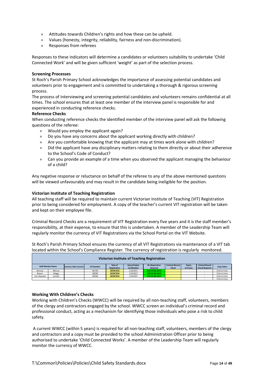- » Attitudes towards Children's rights and how these can be upheld.
- » Values (honesty, integrity, reliability, fairness and non-discrimination).
- » Responses from referees

Responses to these indicators will determine a candidates or volunteers suitability to undertake 'Child Connected Work' and will be given sufficient 'weight' as part of the selection process.

#### **Screening Processes**

St Roch's Parish Primary School acknowledges the importance of assessing potential candidates and volunteers prior to engagement and is committed to undertaking a thorough & rigorous screening process.

The process of interviewing and screening potential candidates and volunteers remains confidential at all times. The school ensures that at least one member of the interview panel is responsible for and experienced in conducting reference checks.

#### **Reference Checks**

When conducting reference checks the identified member of the interview panel will ask the following questions of the referee:

- » Would you employ the applicant again?
- » Do you have any concerns about the applicant working directly with children?
- » Are you comfortable knowing that the applicant may at times work alone with children?
- » Did the applicant have any disciplinary matters relating to them directly or about their adherence to the School's Code of Conduct?
- » Can you provide an example of a time when you observed the applicant managing the behaviour of a child?

Any negative response or reluctance on behalf of the referee to any of the above mentioned questions will be viewed unfavourably and may result in the candidate being ineligible for the position.

#### **Victorian Institute of Teaching Registration**

All teaching staff will be required to maintain current Victorian Institute of Teaching (VIT) Registration prior to being considered for employment. A copy of the teacher's current VIT registration will be taken and kept on their employee file.

Criminal Record Checks are a requirement of VIT Registration every five years and it is the staff member's responsibility, at their expense, to ensure that this is undertaken. A member of the Leadership Team will regularly monitor the currency of VIT Registrations via the School Portal on the VIT Website.

St Roch's Parish Primary School ensures the currency of all VIT Registrations via maintenance of a VIT tab located within the School's Compliance Register. The currency of registration is regularly monitored.

|             | Victorian Institute of Teaching Registration                                                                                                                                                                                                                                               |  |        |            |           |                 |  |            |  |               |
|-------------|--------------------------------------------------------------------------------------------------------------------------------------------------------------------------------------------------------------------------------------------------------------------------------------------|--|--------|------------|-----------|-----------------|--|------------|--|---------------|
|             | <b>Ciminal Record</b><br><b>Criminal Record</b><br><b>Annual Expiry</b><br><b>Re-Registration</b><br>Expiry<br>Date of<br><b>Staff Member Name</b><br><b>VIT Number</b><br>Current / Non-Current<br>(5 Years)<br>(12 Months)<br><b>Check Required</b><br>Registration<br>Check<br>Required |  |        |            |           |                 |  | Copy Taken |  |               |
| Bonney      | Melissa                                                                                                                                                                                                                                                                                    |  | 301756 | 30/09/2016 | 1/10/2017 | DUE IN 441 DAYS |  |            |  | Click to View |
| Bowen       | Meggy                                                                                                                                                                                                                                                                                      |  | 338782 | 30/09/2016 | 1/10/2017 | DUE IN 441 DAYS |  |            |  | Click to View |
| Cox-Havward | Lynette                                                                                                                                                                                                                                                                                    |  | 185363 | 30/09/2016 | 1/10/2017 | DUE IN 441 DAYS |  |            |  | Click to View |
|             |                                                                                                                                                                                                                                                                                            |  |        |            |           |                 |  |            |  | Click to View |

#### **Working With Children's Checks**

Working with Children's Checks (WWCC) will be required by all non-teaching staff, volunteers, members of the clergy and contractors engaged by the school. WWCC screen an individual's criminal record and professional conduct, acting as a mechanism for identifying those individuals who pose a risk to child safety.

A current WWCC (within 5 years) is required for all non-teaching staff, volunteers, members of the clergy and contractors and a copy must be provided to the school Administration Officer prior to being authorised to undertake 'Child Connected Works'. A member of the Leadership Team will regularly monitor the currency of WWCC.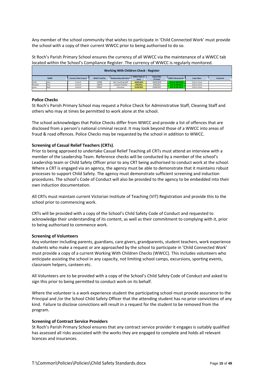Any member of the school community that wishes to participate in 'Child Connected Work' must provide the school with a copy of their current WWCC prior to being authorised to do so.

St Roch's Parish Primary School ensures the currency of all WWCC via the maintenance of a WWCC tab located within the School's Compliance Register. The currency of WWCC is regularly monitored.

|         | <b>Working With Children Check - Register</b> |                        |                     |                          |                                     |                                 |                  |               |         |
|---------|-----------------------------------------------|------------------------|---------------------|--------------------------|-------------------------------------|---------------------------------|------------------|---------------|---------|
|         | <b>NAME</b>                                   | .Current / Non-Current | <b>WWCC Card No</b> | Relationship with School | <b>WWCC Date of</b><br><b>Issue</b> | <b>Expiry Date</b><br>(5 Years) | WWCC Renewal Due | Copy Taken    | Comment |
| Smith   | John                                          | Current                | 123456              | Non-Teaching Staff       | 16/05/2014                          | 18/05/2019                      | DUE IN 1035 DAYS | Click to View |         |
| Plumber | Pete                                          | Current                | 134679              | Contract Plumber         | 1/05/2012                           | 3/05/2017                       | DUE IN 290 DAYS  | Click to View |         |
| Jones   | Barb                                          | Current                | 976431              | Volunteer                | 21/06/2012                          | 23/06/2017                      | DUE IN 341 DAYS  | Click to View |         |
|         |                                               |                        |                     |                          |                                     |                                 |                  |               |         |

#### **Police Checks**

St Roch's Parish Primary School may request a Police Check for Administrative Staff, Cleaning Staff and others who may at times be permitted to work alone at the school.

The school acknowledges that Police Checks differ from WWCC and provide a list of offences that are disclosed from a person's national criminal record. It may look beyond those of a WWCC into areas of fraud & road offences. Police Checks may be requested by the school in addition to WWCC.

#### **Screening of Casual Relief Teachers (CRTs)**.

Prior to being approved to undertake Casual Relief Teaching all CRTs must attend an interview with a member of the Leadership Team. Reference checks will be conducted by a member of the school's Leadership team or Child Safety Officer prior to any CRT being authorised to conduct work at the school. Where a CRT is engaged via an agency, the agency must be able to demonstrate that it maintains robust processes to support Child Safety. The agency must demonstrate sufficient screening and induction procedures. The school's Code of Conduct will also be provided to the agency to be embedded into their own induction documentation.

All CRTs must maintain current Victorian Institute of Teaching (VIT) Registration and provide this to the school prior to commencing work.

CRTs will be provided with a copy of the School's Child Safety Code of Conduct and requested to acknowledge their understanding of its content, as well as their commitment to complying with it, prior to being authorised to commence work.

#### **Screening of Volunteers**

Any volunteer including parents, guardians, care givers, grandparents, student teachers, work experience students who make a request or are approached by the school to participate in 'Child Connected Work' must provide a copy of a current Working With Children Checks (WWCC). This includes volunteers who anticipate assisting the school in any capacity, not limiting school camps, excursions, sporting events, classroom helpers, canteen etc.

All Volunteers are to be provided with a copy of the School's Child Safety Code of Conduct and asked to sign this prior to being permitted to conduct work on its behalf.

Where the volunteer is a work experience student the participating school must provide assurance to the Principal and /or the School Child Safety Officer that the attending student has no prior convictions of any kind. Failure to disclose convictions will result in a request for the student to be removed from the program.

#### **Screening of Contract Service Providers**

St Roch's Parish Primary School ensures that any contract service provider it engages is suitably qualified has assessed all risks associated with the works they are engaged to complete and holds all relevant licences and insurances.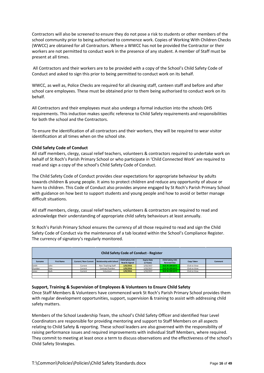Contractors will also be screened to ensure they do not pose a risk to students or other members of the school community prior to being authorised to commence work. Copies of Working With Children Checks (WWCC) are obtained for all Contractors. Where a WWCC has not be provided the Contractor or their workers are not permitted to conduct work in the presence of any student. A member of Staff must be present at all times.

All Contractors and their workers are to be provided with a copy of the School's Child Safety Code of Conduct and asked to sign this prior to being permitted to conduct work on its behalf.

WWCC, as well as, Police Checks are required for all cleaning staff, canteen staff and before and after school care employees. These must be obtained prior to them being authorised to conduct work on its behalf.

All Contractors and their employees must also undergo a formal induction into the schools OHS requirements. This induction makes specific reference to Child Safety requirements and responsibilities for both the school and the Contractors.

To ensure the identification of all contractors and their workers, they will be required to wear visitor identification at all times when on the school site.

#### **Child Safety Code of Conduct**

All staff members, clergy, casual relief teachers, volunteers & contractors required to undertake work on behalf of St Roch's Parish Primary School or who participate in 'Child Connected Work' are required to read and sign a copy of the school's Child Safety Code of Conduct.

The Child Safety Code of Conduct provides clear expectations for appropriate behaviour by adults towards children & young people. It aims to protect children and reduce any opportunity of abuse or harm to children. This Code of Conduct also provides anyone engaged by St Roch's Parish Primary School with guidance on how best to support students and young people and how to avoid or better manage difficult situations.

All staff members, clergy, casual relief teachers, volunteers & contractors are required to read and acknowledge their understanding of appropriate child safety behaviours at least annually.

St Roch's Parish Primary School ensures the currency of all those required to read and sign the Child Safety Code of Conduct via the maintenance of a tab located within the School's Compliance Register. The currency of signatory's regularly monitored.

|         | <b>Child Safety Code of Conduct - Register</b> |                        |                          |                                              |                                 |                                               |               |         |  |
|---------|------------------------------------------------|------------------------|--------------------------|----------------------------------------------|---------------------------------|-----------------------------------------------|---------------|---------|--|
| Surname | <b>First Name</b>                              | .Current / Non-Current | Relationship with School | Child Safety COC<br><b>Read &amp; Signed</b> | <b>Expiry Date</b><br>(1 Years) | <b>Child Safety COC</b><br><b>Renewal Due</b> | Copy Taken    | Comment |  |
| Smith   | John                                           | Current                | Non-Teaching Staff       | 1/02/2016                                    | 1/02/2017                       | DUE IN 199 DAYS                               | Click to View |         |  |
| Plumber | Pete                                           | Current                | Contract Plumber         | 1/02/2016                                    | 1/02/2017                       | DUE IN 199 DAYS                               | Click to View |         |  |
| Jones   | Barb                                           | Current                | Volunteer                | 1/02/2016                                    | 1/02/2017                       | DUE IN 199 DAYS                               | Click to View |         |  |
|         |                                                |                        |                          |                                              |                                 |                                               |               |         |  |
|         |                                                |                        |                          |                                              |                                 |                                               |               |         |  |

#### **Support, Training & Supervision of Employees & Volunteers to Ensure Child Safety**

Once Staff Members & Volunteers have commenced work St Roch's Parish Primary School provides them with regular development opportunities, support, supervision & training to assist with addressing child safety matters.

Members of the School Leadership Team, the school's Child Safety Officer and identified Year Level Coordinators are responsible for providing mentoring and support to Staff Members on all aspects relating to Child Safety & reporting. These school leaders are also governed with the responsibility of raising performance issues and required improvements with individual Staff Members, where required. They commit to meeting at least once a term to discuss observations and the effectiveness of the school's Child Safety Strategies.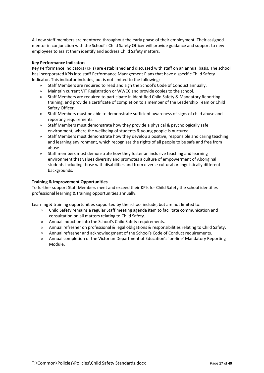All new staff members are mentored throughout the early phase of their employment. Their assigned mentor in conjunction with the School's Child Safety Officer will provide guidance and support to new employees to assist them identify and address Child Safety matters.

#### **Key Performance Indicators**

Key Performance Indicators (KPIs) are established and discussed with staff on an annual basis. The school has incorporated KPIs into staff Performance Management Plans that have a specific Child Safety Indicator. This indicator includes, but is not limited to the following:

- » Staff Members are required to read and sign the School's Code of Conduct annually.
- » Maintain current VIT Registration or WWCC and provide copies to the school.
- » Staff Members are required to participate in identified Child Safety & Mandatory Reporting training, and provide a certificate of completion to a member of the Leadership Team or Child Safety Officer.
- » Staff Members must be able to demonstrate sufficient awareness of signs of child abuse and reporting requirements.
- » Staff Members must demonstrate how they provide a physical & psychologically safe environment, where the wellbeing of students & young people is nurtured.
- » Staff Members must demonstrate how they develop a positive, responsible and caring teaching and learning environment, which recognises the rights of all people to be safe and free from abuse.
- » Staff members must demonstrate how they foster an inclusive teaching and learning environment that values diversity and promotes a culture of empowerment of Aboriginal students including those with disabilities and from diverse cultural or linguistically different backgrounds.

#### **Training & Improvement Opportunities**

To further support Staff Members meet and exceed their KPIs for Child Safety the school identifies professional learning & training opportunities annually.

Learning & training opportunities supported by the school include, but are not limited to:

- » Child Safety remains a regular Staff meeting agenda item to facilitate communication and consultation on all matters relating to Child Safety.
- » Annual induction into the School's Child Safety requirements.
- » Annual refresher on professional & legal obligations & responsibilities relating to Child Safety.
- » Annual refresher and acknowledgment of the School's Code of Conduct requirements.
- <span id="page-16-0"></span>» Annual completion of the Victorian Department of Education's 'on-line' Mandatory Reporting Module.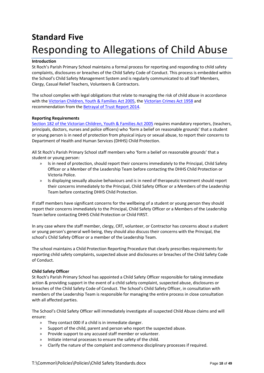## **Standard Five**  Responding to Allegations of Child Abuse

#### **Introduction**

St Roch's Parish Primary School maintains a formal process for reporting and responding to child safety complaints, disclosures or breaches of the Child Safety Code of Conduct. This process is embedded within the School's Child Safety Management System and is regularly communicated to all Staff Members, Clergy, Casual Relief Teachers, Volunteers & Contractors.

The school complies with legal obligations that relate to managing the risk of child abuse in accordance with the [Victorian Children, Youth & Families Act 2005,](http://www.austlii.edu.au/au/legis/vic/consol_act/cyafa2005252/) the [Victorian Crimes Act 1958](http://www.austlii.edu.au/au/legis/vic/consol_act/ca195882/) and recommendation from the [Betrayal of Trust Report 2014.](http://www.parliament.vic.gov.au/fcdc/article/1788)

#### **Reporting Requirements**

[Section 182 of the Victorian Children, Youth & Families Act 2005](http://www.austlii.edu.au/au/legis/vic/consol_act/cyafa2005252/s182.html) requires mandatory reporters, (teachers, principals, doctors, nurses and police officers) who 'form a belief on reasonable grounds' that a student or young person is in need of protection from physical injury or sexual abuse, to report their concerns to Department of Health and Human Services (DHHS) Child Protection.

All St Roch's Parish Primary School staff members who 'form a belief on reasonable grounds' that a student or young person:

- » Is in need of protection, should report their concerns immediately to the Principal, Child Safety Officer or a Member of the Leadership Team before contacting the DHHS Child Protection or Victoria Police.
- » Is displaying sexually abusive behaviours and is in need of therapeutic treatment should report their concerns immediately to the Principal, Child Safety Officer or a Members of the Leadership Team before contacting DHHS Child Protection.

If staff members have significant concerns for the wellbeing of a student or young person they should report their concerns immediately to the Principal, Child Safety Officer or a Members of the Leadership Team before contacting DHHS Child Protection or Child FIRST.

In any case where the staff member, clergy, CRT, volunteer, or Contractor has concerns about a student or young person's general well-being, they should also discuss their concerns with the Principal, the school's Child Safety Officer or a member of the Leadership Team.

The school maintains a Child Protection Reporting Procedure that clearly prescribes requirements for reporting child safety complaints, suspected abuse and disclosures or breaches of the Child Safety Code of Conduct.

#### **Child Safety Officer**

St Roch's Parish Primary School has appointed a Child Safety Officer responsible for taking immediate action & providing support in the event of a child safety complaint, suspected abuse, disclosures or breaches of the Child Safety Code of Conduct. The School's Child Safety Officer, in consultation with members of the Leadership Team is responsible for managing the entire process in close consultation with all affected parties.

The School's Child Safety Officer will immediately investigate all suspected Child Abuse claims and will ensure:

- » They contact 000 if a child is in immediate danger.
- » Support of the child, parent and person who report the suspected abuse.
- » Provide support to any accused staff member or volunteer.
- » Initiate internal processes to ensure the safety of the child.
- » Clarify the nature of the complaint and commence disciplinary processes if required.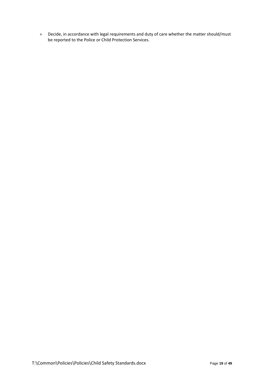» Decide, in accordance with legal requirements and duty of care whether the matter should/must be reported to the Police or Child Protection Services.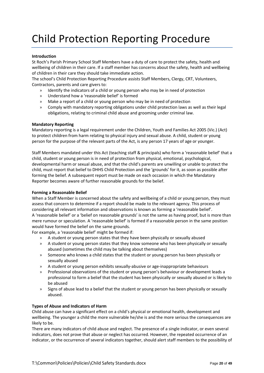# Child Protection Reporting Procedure

#### **Introduction**

St Roch's Parish Primary School Staff Members have a duty of care to protect the safety, health and wellbeing of children in their care. If a staff member has concerns about the safety, health and wellbeing of children in their care they should take immediate action.

The school's Child Protection Reporting Procedure assists Staff Members, Clergy, CRT, Volunteers, Contractors, parents and care givers to:

- » Identify the indicators of a child or young person who may be in need of protection
- » Understand how a 'reasonable belief' is formed
- » Make a report of a child or young person who may be in need of protection
- » Comply with mandatory reporting obligations under child protection laws as well as their legal obligations, relating to criminal child abuse and grooming under criminal law.

#### **Mandatory Reporting**

Mandatory reporting is a legal requirement under the Children, Youth and Families Act 2005 (Vic.) (Act) to protect children from harm relating to physical injury and sexual abuse. A child, student or young person for the purpose of the relevant parts of the Act, is any person 17 years of age or younger.

Staff Members mandated under this Act (teaching staff & principals) who form a 'reasonable belief' that a child, student or young person is in need of protection from physical, emotional, psychological, developmental harm or sexual abuse, and that the child's parents are unwilling or unable to protect the child, must report that belief to DHHS Child Protection and the 'grounds' for it, as soon as possible after forming the belief. A subsequent report must be made on each occasion in which the Mandatory Reporter becomes aware of further reasonable grounds for the belief.

#### **Forming a Reasonable Belief**

When a Staff Member is concerned about the safety and wellbeing of a child or young person, they must assess that concern to determine if a report should be made to the relevant agency. This process of considering all relevant information and observations is known as forming a 'reasonable belief'.

A 'reasonable belief' or a 'belief on reasonable grounds' is not the same as having proof, but is more than mere rumour or speculation. A 'reasonable belief' is formed if a reasonable person in the same position would have formed the belief on the same grounds.

For example, a 'reasonable belief' might be formed if:

- » A student or young person states that they have been physically or sexually abused
- » A student or young person states that they know someone who has been physically or sexually abused (sometimes the child may be talking about themselves)
- » Someone who knows a child states that the student or young person has been physically or sexually abused
- » A student or young person exhibits sexually-abusive or age-inappropriate behaviours
- » Professional observations of the student or young person's behaviour or development leads a professional to form a belief that the student has been physically or sexually abused or is likely to be abused
- » Signs of abuse lead to a belief that the student or young person has been physically or sexually abused.

#### **Types of Abuse and Indicators of Harm**

Child abuse can have a significant effect on a child's physical or emotional health, development and wellbeing. The younger a child the more vulnerable he/she is and the more serious the consequences are likely to be.

There are many indicators of child abuse and neglect. The presence of a single indicator, or even several indicators, does not prove that abuse or neglect has occurred. However, the repeated occurrence of an indicator, or the occurrence of several indicators together, should alert staff members to the possibility of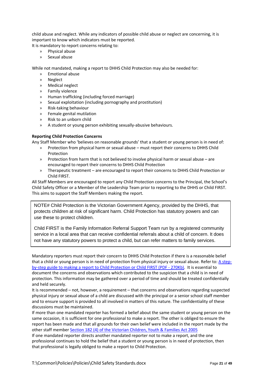child abuse and neglect. While any indicators of possible child abuse or neglect are concerning, it is important to know which indicators must be reported.

It is mandatory to report concerns relating to:

- » Physical abuse
- » Sexual abuse

While not mandated, making a report to DHHS Child Protection may also be needed for:

- » Emotional abuse
- » Neglect
- » Medical neglect
- » Family violence
- » Human trafficking (including forced marriage)
- » Sexual exploitation (including pornography and prostitution)
- » Risk-taking behaviour
- » Female genital mutilation
- » Risk to an unborn child
- » A student or young person exhibiting sexually-abusive behaviours.

#### **Reporting Child Protection Concerns**

Any Staff Member who 'believes on reasonable grounds' that a student or young person is in need of:

- » Protection from physical harm or sexual abuse must report their concerns to DHHS Child Protection
- » Protection from harm that is not believed to involve physical harm or sexual abuse are encouraged to report their concerns to DHHS Child Protection
- » Therapeutic treatment are encouraged to report their concerns to DHHS Child Protection or Child FIRST.

All Staff Members are encouraged to report any Child Protection concerns to the Principal, the School's Child Safety Officer or a Member of the Leadership Team prior to reporting to the DHHS or Child FIRST. This aims to support the Staff Members making the report.

NOTE# Child Protection is the Victorian Government Agency, provided by the DHHS, that protects children at risk of significant harm. Child Protection has statutory powers and can use these to protect children.

Child FIRST is the Family Information Referral Support Team run by a registered community service in a local area that can receive confidential referrals about a child of concern. It does not have any statutory powers to protect a child, but can refer matters to family services.

Mandatory reporters must report their concern to DHHS Child Protection if there is a reasonable belief that a child or young person is in need of protection from physical injury or sexual abuse. Refer to: [A step](http://www.education.vic.gov.au/Documents/childhood/parents/health/mandreportsep10.pdf)[by-step guide to making a report to Child Protection or Child FIRST \(PDF -](http://www.education.vic.gov.au/Documents/childhood/parents/health/mandreportsep10.pdf) 270Kb). It is essential to document the concerns and observations which contributed to the suspicion that a child is in need of protection. This information may be gathered over a period of time and should be treated confidentially and held securely.

It is recommended – not, however, a requirement – that concerns and observations regarding suspected physical injury or sexual abuse of a child are discussed with the principal or a senior school staff member and to ensure support is provided to all involved in matters of this nature. The confidentiality of these discussions must be maintained.

If more than one mandated reporter has formed a belief about the same student or young person on the same occasion, it is sufficient for one professional to make a report. The other is obliged to ensure the report has been made and that all grounds for their own belief were included in the report made by the other staff member [Section 182 \(4\) of the Victorian Children, Youth & Families Act 2005](http://www.austlii.edu.au/au/legis/vic/consol_act/cyafa2005252/s182.html)

If one mandated reporter directs another mandated reporter not to make a report, and the one professional continues to hold the belief that a student or young person is in need of protection, then that professional is legally obliged to make a report to Child Protection.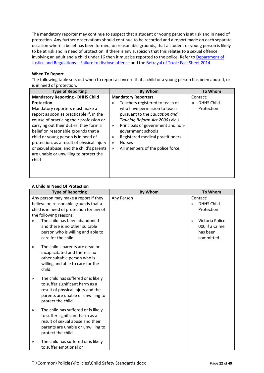The mandatory reporter may continue to suspect that a student or young person is at risk and in need of protection. Any further observations should continue to be recorded and a report made on each separate occasion where a belief has been formed, on reasonable grounds, that a student or young person is likely to be at risk and in need of protection. If there is any suspicion that this relates to a sexual offence involving an adult and a child under 16 then it must be reported to the police. Refer t[o Department of](http://www.gvcasa.com.au/documents/failure+to+disclose.pdf)  Justice and Regulations – [Failure to disclose offence](http://www.gvcasa.com.au/documents/failure+to+disclose.pdf) and the [Betrayal of Trust: Fact Sheet 2014.](http://www.gvcasa.com.au/documents/failure+to+disclose.pdf)

#### **When To Report**

The following table sets out when to report a concern that a child or a young person has been abused, or is in need of protection.

| <b>Type of Reporting</b>                   | <b>By Whom</b>                                    | <b>To Whom</b>                     |
|--------------------------------------------|---------------------------------------------------|------------------------------------|
| <b>Mandatory Reporting - DHHS Child</b>    | <b>Mandatory Reporters</b>                        | Contact:                           |
| <b>Protection</b>                          | Teachers registered to teach or<br>$\gg$          | <b>DHHS Child</b><br>$\mathcal{P}$ |
| Mandatory reporters must make a            | who have permission to teach                      | Protection                         |
| report as soon as practicable if, in the   | pursuant to the Education and                     |                                    |
| course of practicing their profession or   | Training Reform Act 2006 (Vic.)                   |                                    |
| carrying out their duties, they form a     | Principals of government and non-<br>»            |                                    |
| belief on reasonable grounds that a        | government schools                                |                                    |
| child or young person is in need of        | Registered medical practitioners<br>$\gg$         |                                    |
| protection, as a result of physical injury | <b>Nurses</b><br>$\gg$                            |                                    |
| or sexual abuse, and the child's parents   | All members of the police force.<br>$\mathcal{D}$ |                                    |
| are unable or unwilling to protect the     |                                                   |                                    |
| child.                                     |                                                   |                                    |
|                                            |                                                   |                                    |
|                                            |                                                   |                                    |
|                                            |                                                   |                                    |

#### **A Child In Need Of Protection**

| <b>Type of Reporting</b>                                                                                                                                                         | <b>By Whom</b> | <b>To Whom</b>                                                               |
|----------------------------------------------------------------------------------------------------------------------------------------------------------------------------------|----------------|------------------------------------------------------------------------------|
| Any person may make a report if they<br>believe on reasonable grounds that a<br>child is in need of protection for any of<br>the following reasons:                              | Any Person     | Contact:<br><b>DHHS Child</b><br>$\lambda$<br>Protection                     |
| The child has been abandoned<br>$\mathcal{D}$<br>and there is no other suitable<br>person who is willing and able to<br>care for the child.                                      |                | Victoria Police<br>$\mathcal{P}$<br>000 if a Crime<br>has been<br>committed. |
| The child's parents are dead or<br>$\gg$<br>incapacitated and there is no<br>other suitable person who is<br>willing and able to care for the<br>child.                          |                |                                                                              |
| The child has suffered or is likely<br>$\gg$<br>to suffer significant harm as a<br>result of physical injury and the<br>parents are unable or unwilling to<br>protect the child. |                |                                                                              |
| The child has suffered or is likely<br>$\gg$<br>to suffer significant harm as a<br>result of sexual abuse and their<br>parents are unable or unwilling to<br>protect the child.  |                |                                                                              |
| The child has suffered or is likely<br>≫<br>to suffer emotional or                                                                                                               |                |                                                                              |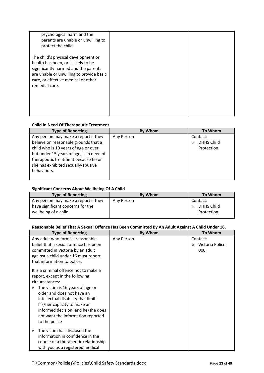| psychological harm and the<br>parents are unable or unwilling to<br>protect the child.                                                                                                                                  |  |
|-------------------------------------------------------------------------------------------------------------------------------------------------------------------------------------------------------------------------|--|
| The child's physical development or<br>health has been, or is likely to be<br>significantly harmed and the parents<br>are unable or unwilling to provide basic<br>care, or effective medical or other<br>remedial care. |  |

#### **Child In Need Of Therapeutic Treatment**

| <b>Type of Reporting</b>                 | By Whom    | <b>To Whom</b> |
|------------------------------------------|------------|----------------|
| Any person may make a report if they     | Any Person | Contact:       |
| believe on reasonable grounds that a     |            | DHHS Child     |
| child who is 10 years of age or over,    |            | Protection     |
| but under 15 years of age, is in need of |            |                |
| therapeutic treatment because he or      |            |                |
| she has exhibited sexually-abusive       |            |                |
| behaviours.                              |            |                |
|                                          |            |                |

#### **Significant Concerns About Wellbeing Of A Child**

| <b>Type of Reporting</b>             | <b>By Whom</b> | To Whom           |
|--------------------------------------|----------------|-------------------|
| Any person may make a report if they | Any Person     | Contact:          |
| have significant concerns for the    |                | <b>DHHS Child</b> |
| wellbeing of a child                 |                | Protection        |
|                                      |                |                   |

#### **Reasonable Belief That A Sexual Offence Has Been Committed By An Adult Against A Child Under 16.**

| <b>Type of Reporting</b>                                                                                                                                                                                                                                                                                                             | <b>By Whom</b> | <b>To Whom</b>                          |
|--------------------------------------------------------------------------------------------------------------------------------------------------------------------------------------------------------------------------------------------------------------------------------------------------------------------------------------|----------------|-----------------------------------------|
| Any adult who forms a reasonable<br>belief that a sexual offence has been<br>committed in Victoria by an adult<br>against a child under 16 must report<br>that information to police.                                                                                                                                                | Any Person     | Contact:<br>Victoria Police<br>≫<br>000 |
| It is a criminal offence not to make a<br>report, except in the following<br>circumstances:<br>The victim is 16 years of age or<br>≫<br>older and does not have an<br>intellectual disability that limits<br>his/her capacity to make an<br>informed decision; and he/she does<br>not want the information reported<br>to the police |                |                                         |
| The victim has disclosed the<br>$\mathcal{D}$<br>information in confidence in the<br>course of a therapeutic relationship<br>with you as a registered medical                                                                                                                                                                        |                |                                         |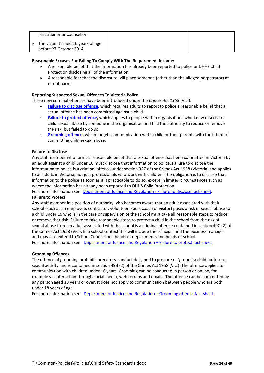| practitioner or counsellor.                                  |  |
|--------------------------------------------------------------|--|
| The victim turned 16 years of age<br>before 27 October 2014. |  |

#### **Reasonable Excuses For Failing To Comply With The Requirement Include:**

- » A reasonable belief that the information has already been reported to police or DHHS Child Protection disclosing all of the information.
- » A reasonable fear that the disclosure will place someone (other than the alleged perpetrator) at risk of harm.

#### **Reporting Suspected Sexual Offences To Victoria Police:**

Three new criminal offences have been introduced under the *Crimes Act 1958* (Vic.):

- » **[Failure to disclose offence,](http://www.justice.vic.gov.au/home/safer+communities/protecting+children+and+families/failure+to+disclose+offence)** which requires adults to report to police a reasonable belief that a sexual offence has been committed against a child.
- » **[Failure to protect offence,](http://www.justice.vic.gov.au/home/safer+communities/protecting+children+and+families/failure+to+protect+offence)** which applies to people within organisations who knew of a risk of child sexual abuse by someone in the organisation and had the authority to reduce or remove the risk, but failed to do so.
- » **[Grooming offence,](http://www.justice.vic.gov.au/home/safer+communities/protecting+children+and+families/grooming+offence)** which targets communication with a child or their parents with the intent of committing child sexual abuse.

#### **Failure to Disclose**

Any staff member who forms a reasonable belief that a sexual offence has been committed in Victoria by an adult against a child under 16 must disclose that information to police. Failure to disclose the information to police is a criminal offence under section 327 of the Crimes Act 1958 (Victoria) and applies to all adults in Victoria, not just professionals who work with children. The obligation is to disclose that information to the police as soon as it is practicable to do so, except in limited circumstances such as where the information has already been reported to DHHS Child Protection.

For more information see[: Department of Justice and Regulation -](http://www.justice.vic.gov.au/home/safer+communities/protecting+children+and+families/failure+to+disclose+offence) Failure to disclose fact sheet.

#### **Failure to Protect**

Any staff member in a position of authority who becomes aware that an adult associated with their school (such as an employee, contractor, volunteer, sport coach or visitor) poses a risk of sexual abuse to a child under 16 who is in the care or supervision of the school must take all reasonable steps to reduce or remove that risk. Failure to take reasonable steps to protect a child in the school from the risk of sexual abuse from an adult associated with the school is a criminal offence contained in section 49C (2) of the Crimes Act 1958 (Vic.). In a school context this will include the principal and the business manager and may also extend to School Counsellors, heads of departments and heads of school. For more information see: [Department of Justice and Regulation –](http://www.justice.vic.gov.au/home/safer+communities/protecting+children+and+families/failure+to+protect+offence) Failure to protect fact sheet

#### **Grooming Offences**

The offence of grooming prohibits predatory conduct designed to prepare or 'groom' a child for future sexual activity and is contained in section 49B (2) of the Crimes Act 1958 (Vic.). The offence applies to communication with children under 16 years. Grooming can be conducted in person or online, for example via interaction through social media, web forums and emails. The offence can be committed by any person aged 18 years or over. It does not apply to communication between people who are both under 18 years of age.

For more information see: [Department of Justice and Regulation –](http://www.justice.vic.gov.au/home/safer+communities/protecting+children+and+families/grooming+offence) Grooming offence fact sheet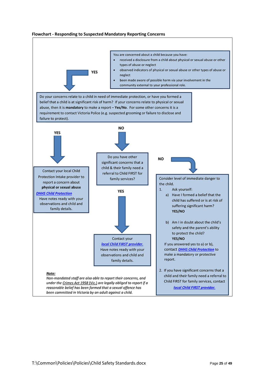

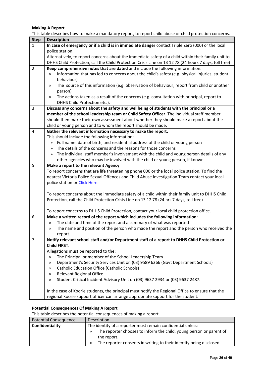#### **Making A Report**

This table describes how to make a mandatory report, to report child abuse or child protection concerns.

| <b>Step</b>    | <b>Description</b>                                                                                                                                           |
|----------------|--------------------------------------------------------------------------------------------------------------------------------------------------------------|
| $\mathbf{1}$   | In case of emergency or if a child is in immediate danger contact Triple Zero (000) or the local                                                             |
|                | police station.                                                                                                                                              |
|                | Alternatively, to report concerns about the immediate safety of a child within their family unit to                                                          |
|                | DHHS Child Protection, call the Child Protection Crisis Line on 13 12 78 (24 hours 7 days, toll free)                                                        |
| $\overline{2}$ | Keep comprehensive notes that are dated and include the following information:                                                                               |
|                | Information that has led to concerns about the child's safety (e.g. physical injuries, student<br>$\lambda$                                                  |
|                | behaviour)                                                                                                                                                   |
|                | The source of this information (e.g. observation of behaviour, report from child or another<br>≫                                                             |
|                | person)                                                                                                                                                      |
|                | The actions taken as a result of the concerns (e.g. consultation with principal, report to<br>$\gg$                                                          |
|                | DHHS Child Protection etc.).                                                                                                                                 |
| 3              | Discuss any concerns about the safety and wellbeing of students with the principal or a                                                                      |
|                | member of the school leadership team or Child Safety Officer. The individual staff member                                                                    |
|                | should then make their own assessment about whether they should make a report about the<br>child or young person and to whom the report should be made.      |
| 4              | Gather the relevant information necessary to make the report.                                                                                                |
|                | This should include the following information:                                                                                                               |
|                | Full name, date of birth, and residential address of the child or young person<br>»                                                                          |
|                | The details of the concerns and the reasons for those concerns<br>$\gg$                                                                                      |
|                | The individual staff member's involvement with the child and young person details of any<br>≫                                                                |
|                | other agencies who may be involved with the child or young person, if known.                                                                                 |
| 5              | Make a report to the relevant Agency                                                                                                                         |
|                | To report concerns that are life threatening phone 000 or the local police station. To find the                                                              |
|                | nearest Victoria Police Sexual Offences and Child Abuse Investigation Team contact your local                                                                |
|                | police station or Click Here.                                                                                                                                |
|                |                                                                                                                                                              |
|                | To report concerns about the immediate safety of a child within their family unit to DHHS Child                                                              |
|                | Protection, call the Child Protection Crisis Line on 13 12 78 (24 hrs 7 days, toll free)                                                                     |
|                |                                                                                                                                                              |
|                | To report concerns to DHHS Child Protection, contact your local child protection office.                                                                     |
| 6              | Make a written record of the report which includes the following information:<br>The date and time of the report and a summary of what was reported<br>$\gg$ |
|                | The name and position of the person who made the report and the person who received the<br>$\gg$                                                             |
|                | report.                                                                                                                                                      |
| $\overline{7}$ | Notify relevant school staff and/or Department staff of a report to DHHS Child Protection or                                                                 |
|                | <b>Child FIRST.</b>                                                                                                                                          |
|                | Allegations must be reported to the:                                                                                                                         |
|                | The Principal or member of the School Leadership Team<br>$\gg$                                                                                               |
|                | Department's Security Services Unit on (03) 9589 6266 (Govt Department Schools)<br>≫                                                                         |
|                | Catholic Education Office (Catholic Schools)<br>$\gg$                                                                                                        |
|                | <b>Relevant Regional Office</b><br>$\gg$                                                                                                                     |
|                | Student Critical Incident Advisory Unit on (03) 9637 2934 or (03) 9637 2487.<br>$\gg$                                                                        |
|                |                                                                                                                                                              |
|                | In the case of Koorie students, the principal must notify the Regional Office to ensure that the                                                             |
|                | regional Koorie support officer can arrange appropriate support for the student.                                                                             |

#### **Potential Consequences Of Making A Report**

This table describes the potential consequences of making a report.

| Potential Consequence | Description                                                              |  |  |  |  |
|-----------------------|--------------------------------------------------------------------------|--|--|--|--|
| Confidentiality       | The identity of a reporter must remain confidential unless:              |  |  |  |  |
|                       | The reporter chooses to inform the child, young person or parent of      |  |  |  |  |
|                       | the report.                                                              |  |  |  |  |
|                       | The reporter consents in writing to their identity being disclosed.<br>» |  |  |  |  |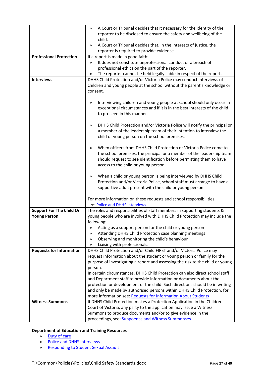|                                 | A Court or Tribunal decides that it necessary for the identity of the<br>$\gg$                                                                            |  |  |  |  |  |
|---------------------------------|-----------------------------------------------------------------------------------------------------------------------------------------------------------|--|--|--|--|--|
|                                 | reporter to be disclosed to ensure the safety and wellbeing of the                                                                                        |  |  |  |  |  |
|                                 | child.                                                                                                                                                    |  |  |  |  |  |
|                                 | A Court or Tribunal decides that, in the interests of justice, the<br>≫                                                                                   |  |  |  |  |  |
|                                 | reporter is required to provide evidence.                                                                                                                 |  |  |  |  |  |
| <b>Professional Protection</b>  | If a report is made in good faith:                                                                                                                        |  |  |  |  |  |
|                                 | It does not constitute unprofessional conduct or a breach of<br>$\gg$                                                                                     |  |  |  |  |  |
|                                 | professional ethics on the part of the reporter.                                                                                                          |  |  |  |  |  |
|                                 | The reporter cannot be held legally liable in respect of the report.<br>$\gg$                                                                             |  |  |  |  |  |
| <b>Interviews</b>               | DHHS Child Protection and/or Victoria Police may conduct interviews of                                                                                    |  |  |  |  |  |
|                                 | children and young people at the school without the parent's knowledge or                                                                                 |  |  |  |  |  |
|                                 | consent.                                                                                                                                                  |  |  |  |  |  |
|                                 |                                                                                                                                                           |  |  |  |  |  |
|                                 | Interviewing children and young people at school should only occur in<br>≫                                                                                |  |  |  |  |  |
|                                 | exceptional circumstances and if it is in the best interests of the child                                                                                 |  |  |  |  |  |
|                                 | to proceed in this manner.                                                                                                                                |  |  |  |  |  |
|                                 |                                                                                                                                                           |  |  |  |  |  |
|                                 | DHHS Child Protection and/or Victoria Police will notify the principal or<br>$\gg$                                                                        |  |  |  |  |  |
|                                 | a member of the leadership team of their intention to interview the                                                                                       |  |  |  |  |  |
|                                 | child or young person on the school premises.                                                                                                             |  |  |  |  |  |
|                                 |                                                                                                                                                           |  |  |  |  |  |
|                                 | When officers from DHHS Child Protection or Victoria Police come to<br>$\gg$                                                                              |  |  |  |  |  |
|                                 | the school premises, the principal or a member of the leadership team                                                                                     |  |  |  |  |  |
|                                 | should request to see identification before permitting them to have                                                                                       |  |  |  |  |  |
|                                 | access to the child or young person.                                                                                                                      |  |  |  |  |  |
|                                 |                                                                                                                                                           |  |  |  |  |  |
|                                 | When a child or young person is being interviewed by DHHS Child<br>$\gg$                                                                                  |  |  |  |  |  |
|                                 | Protection and/or Victoria Police, school staff must arrange to have a                                                                                    |  |  |  |  |  |
|                                 | supportive adult present with the child or young person.                                                                                                  |  |  |  |  |  |
|                                 |                                                                                                                                                           |  |  |  |  |  |
|                                 | For more information on these requests and school responsibilities,                                                                                       |  |  |  |  |  |
|                                 | see: Police and DHHS Interviews                                                                                                                           |  |  |  |  |  |
| <b>Support For The Child Or</b> | The roles and responsibilities of staff members in supporting students &                                                                                  |  |  |  |  |  |
| <b>Young Person</b>             | young people who are involved with DHHS Child Protection may include the                                                                                  |  |  |  |  |  |
|                                 | following:                                                                                                                                                |  |  |  |  |  |
|                                 | Acting as a support person for the child or young person<br>≫                                                                                             |  |  |  |  |  |
|                                 | Attending DHHS Child Protection case planning meetings<br>$\gg$                                                                                           |  |  |  |  |  |
|                                 | Observing and monitoring the child's behaviour<br>$\gg$                                                                                                   |  |  |  |  |  |
| <b>Requests for Information</b> | Liaising with professionals.<br>$\gg$<br>DHHS Child Protection and/or Child FIRST and/or Victoria Police may                                              |  |  |  |  |  |
|                                 |                                                                                                                                                           |  |  |  |  |  |
|                                 | request information about the student or young person or family for the<br>purpose of investigating a report and assessing the risk to the child or young |  |  |  |  |  |
|                                 |                                                                                                                                                           |  |  |  |  |  |
|                                 | person.<br>In certain circumstances, DHHS Child Protection can also direct school staff                                                                   |  |  |  |  |  |
|                                 | and Department staff to provide information or documents about the                                                                                        |  |  |  |  |  |
|                                 | protection or development of the child. Such directions should be in writing                                                                              |  |  |  |  |  |
|                                 | and only be made by authorised persons within DHHS Child Protection. for                                                                                  |  |  |  |  |  |
|                                 | more information see: Requests for Information About Students                                                                                             |  |  |  |  |  |
| <b>Witness Summons</b>          | If DHHS Child Protection makes a Protection Application in the Children's                                                                                 |  |  |  |  |  |
|                                 | Court of Victoria, any party to the application may issue a Witness                                                                                       |  |  |  |  |  |
|                                 | Summons to produce documents and/or to give evidence in the                                                                                               |  |  |  |  |  |
|                                 | proceedings, see: Subpoenas and Witness Summonses                                                                                                         |  |  |  |  |  |
|                                 |                                                                                                                                                           |  |  |  |  |  |

#### **Department of Education and Training Resources**

- » [Duty of care](http://www.education.vic.gov.au/school/principals/spag/safety/Pages/dutyofcare.aspx)
- » [Police and DHHS Interviews](http://www.education.vic.gov.au/school/principals/spag/safety/Pages/interviews.aspx)
- » [Responding to Student Sexual Assault](http://www.education.vic.gov.au/school/principals/spag/safety/Pages/sexualassault.aspx)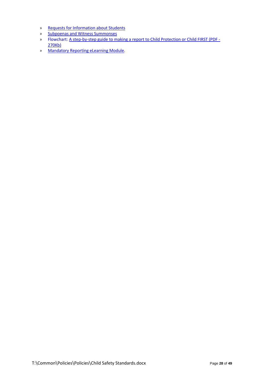- » [Requests for Information about Students](http://www.education.vic.gov.au/school/principals/spag/safety/Pages/requestinfo.aspx)
- » [Subpoenas and Witness Summonses](http://www.education.vic.gov.au/school/principals/spag/governance/Pages/subpoenas.aspx)
- » Flowchart: [A step-by-step guide to making a report to Child Protection or Child FIRST](http://www.education.vic.gov.au/Documents/school/principals/spag/safety/makingareportchild.pdf) (PDF [270Kb\)](http://www.education.vic.gov.au/Documents/school/principals/spag/safety/makingareportchild.pdf)
- » [Mandatory Reporting eLearning Module.](http://www.elearn.com.au/deecd/mandatoryreporting)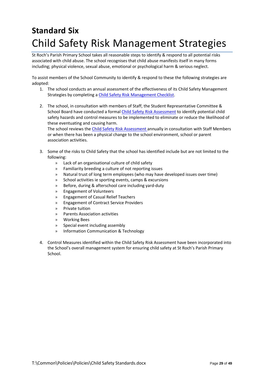# <span id="page-28-0"></span>**Standard Six**  Child Safety Risk Management Strategies

St Roch's Parish Primary School takes all reasonable steps to identify & respond to all potential risks associated with child abuse. The school recognises that child abuse manifests itself in many forms including; physical violence, sexual abuse, emotional or psychological harm & serious neglect.

To assist members of the School Community to identify & respond to these the following strategies are adopted:

- 1. The school conducts an annual assessment of the effectiveness of its Child Safety Management Strategies by completing [a Child Safety Risk Management Checklist.](#page-30-0)
- 2. The school, in consultation with members of Staff, the Student Representative Committee & School Board have conducted a forma[l Child Safety Risk Assessment](#page-34-0) to identify potential child safety hazards and control measures to be implemented to eliminate or reduce the likelihood of these eventuating and causing harm. The school reviews th[e Child Safety Risk Assessment](#page-34-0) annually in consultation with Staff Members

or when there has been a physical change to the school environment, school or parent association activities.

- 3. Some of the risks to Child Safety that the school has identified include but are not limited to the following:
	- » Lack of an organisational culture of child safety
	- » Familiarity breeding a culture of not reporting issues
	- » Natural trust of long term employees (who may have developed issues over time)
	- » School activities ie sporting events, camps & excursions
	- » Before, during & afterschool care including yard-duty
	- » Engagement of Volunteers
	- » Engagement of Casual Relief Teachers
	- » Engagement of Contract Service Providers
	- » Private tuition
	- » Parents Association activities
	- » Working Bees
	- » Special event including assembly
	- » Information Communication & Technology
- 4. Control Measures identified within the Child Safety Risk Assessment have been incorporated into the School's overall management system for ensuring child safety at St Roch's Parish Primary School.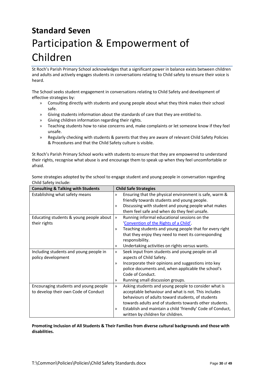# <span id="page-29-0"></span>**Standard Seven**  Participation & Empowerment of Children

St Roch's Parish Primary School acknowledges that a significant power in balance exists between children and adults and actively engages students in conversations relating to Child safety to ensure their voice is heard.

The School seeks student engagement in conversations relating to Child Safety and development of effective strategies by:

- » Consulting directly with students and young people about what they think makes their school safe.
- » Giving students information about the standards of care that they are entitled to.
- » Giving children information regarding their rights.
- » Teaching students how to raise concerns and, make complaints or let someone know if they feel unsafe.
- » Regularly checking with students & parents that they are aware of relevant Child Safety Policies & Procedures and that the Child Safety culture is visible.

St Roch's Parish Primary School works with students to ensure that they are empowered to understand their rights, recognise what abuse is and encourage them to speak up when they feel uncomfortable or afraid.

Some strategies adopted by the school to engage student and young people in conversation regarding Child Safety include:

| <b>Consulting &amp; Talking with Students</b> | <b>Child Safe Strategies</b>                                     |
|-----------------------------------------------|------------------------------------------------------------------|
| Establishing what safety means                | Ensuring that the physical environment is safe, warm &<br>$\gg$  |
|                                               | friendly towards students and young people.                      |
|                                               | Discussing with student and young people what makes<br>$\gg$     |
|                                               | them feel safe and when do they feel unsafe.                     |
| Educating students & young people about       | Running informal educational sessions on the<br>$\gg$            |
| their rights                                  | 'Convention of the Rights of a Child'.                           |
|                                               | Teaching students and young people that for every right<br>$\gg$ |
|                                               | that they enjoy they need to meet its corresponding              |
|                                               | responsibility.                                                  |
|                                               | Undertaking activities on rights versus wants.<br>≫              |
| Including students and young people in        | Seek input from students and young people on all<br>$\gg$        |
| policy development                            | aspects of Child Safety.                                         |
|                                               | Incorporate their opinions and suggestions into key<br>$\gg$     |
|                                               | police documents and, when applicable the school's               |
|                                               | Code of Conduct.                                                 |
|                                               | Running small discussion groups.<br>≫                            |
| Encouraging students and young people         | Asking students and young people to consider what is<br>≫        |
| to develop their own Code of Conduct          | acceptable behaviour and what is not. This includes              |
|                                               | behaviours of adults toward students, of students                |
|                                               | towards adults and of students towards other students.           |
|                                               | Establish and maintain a child 'friendly' Code of Conduct,<br>≫  |
|                                               | written by children for children.                                |

**Promoting Inclusion of All Students & Their Families from diverse cultural backgrounds and those with disabilities.**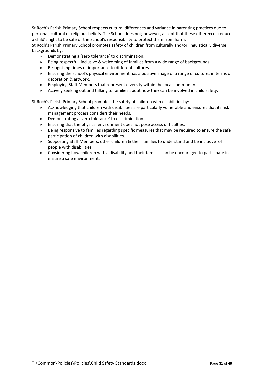St Roch's Parish Primary School respects cultural differences and variance in parenting practices due to personal, cultural or religious beliefs. The School does not; however, accept that these differences reduce a child's right to be safe or the School's responsibility to protect them from harm.

St Roch's Parish Primary School promotes safety of children from culturally and/or linguistically diverse backgrounds by:

- » Demonstrating a 'zero tolerance' to discrimination.
- » Being respectful, inclusive & welcoming of families from a wide range of backgrounds.
- » Recognising times of importance to different cultures.
- » Ensuring the school's physical environment has a positive image of a range of cultures in terms of decoration & artwork.
- » Employing Staff Members that represent diversity within the local community.
- » Actively seeking out and talking to families about how they can be involved in child safety.

St Roch's Parish Primary School promotes the safety of children with disabilities by:

- » Acknowledging that children with disabilities are particularly vulnerable and ensures that its risk management process considers their needs.
- » Demonstrating a 'zero tolerance' to discrimination.
- » Ensuring that the physical environment does not pose access difficulties.
- » Being responsive to families regarding specific measures that may be required to ensure the safe participation of children with disabilities.
- » Supporting Staff Members, other children & their families to understand and be inclusive of people with disabilities.
- <span id="page-30-0"></span>» Considering how children with a disability and their families can be encouraged to participate in ensure a safe environment.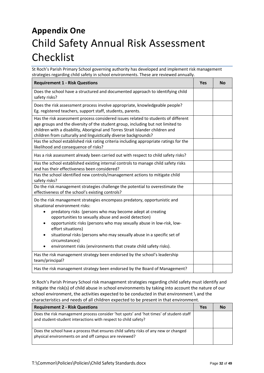# **Appendix One** Child Safety Annual Risk Assessment Checklist

St Roch's Parish Primary School governing authority has developed and implement risk management strategies regarding child safety in school environments. These are reviewed annually.

| <b>Requirement 1 - Risk Questions</b>                                                                                                                                                                                                                                                                                                                                                                                                                                                          | <b>Yes</b> | <b>No</b> |
|------------------------------------------------------------------------------------------------------------------------------------------------------------------------------------------------------------------------------------------------------------------------------------------------------------------------------------------------------------------------------------------------------------------------------------------------------------------------------------------------|------------|-----------|
| Does the school have a structured and documented approach to identifying child<br>safety risks?                                                                                                                                                                                                                                                                                                                                                                                                |            |           |
| Does the risk assessment process involve appropriate, knowledgeable people?<br>Eg. registered teachers, support staff, students, parents.                                                                                                                                                                                                                                                                                                                                                      |            |           |
| Has the risk assessment process considered issues related to students of different<br>age groups and the diversity of the student group, including but not limited to<br>children with a disability, Aboriginal and Torres Strait Islander children and<br>children from culturally and linguistically diverse backgrounds?                                                                                                                                                                    |            |           |
| Has the school established risk rating criteria including appropriate ratings for the<br>likelihood and consequence of risks?                                                                                                                                                                                                                                                                                                                                                                  |            |           |
| Has a risk assessment already been carried out with respect to child safety risks?                                                                                                                                                                                                                                                                                                                                                                                                             |            |           |
| Has the school established existing internal controls to manage child safety risks<br>and has their effectiveness been considered?                                                                                                                                                                                                                                                                                                                                                             |            |           |
| Has the school identified new controls/management actions to mitigate child<br>safety risks?                                                                                                                                                                                                                                                                                                                                                                                                   |            |           |
| Do the risk management strategies challenge the potential to overestimate the<br>effectiveness of the school's existing controls?                                                                                                                                                                                                                                                                                                                                                              |            |           |
| Do the risk management strategies encompass predatory, opportunistic and<br>situational environment risks:<br>predatory risks (persons who may become adept at creating<br>opportunities to sexually abuse and avoid detection)<br>opportunistic risks (persons who may sexually abuse in low-risk, low-<br>effort situations)<br>situational risks (persons who may sexually abuse in a specific set of<br>circumstances)<br>environment risks (environments that create child safety risks). |            |           |
| Has the risk management strategy been endorsed by the school's leadership<br>team/principal?                                                                                                                                                                                                                                                                                                                                                                                                   |            |           |
| Has the risk management strategy been endorsed by the Board of Management?                                                                                                                                                                                                                                                                                                                                                                                                                     |            |           |

St Roch's Parish Primary School risk management strategies regarding child safety must identify and mitigate the risk(s) of child abuse in school environments by taking into account the nature of our school environment, the activities expected to be conducted in that environment \ and the characteristics and needs of all children expected to be present in that environment.

| <b>Requirement 2 - Risk Questions</b>                                                                                                                    | Yes | Nο |
|----------------------------------------------------------------------------------------------------------------------------------------------------------|-----|----|
| Does the risk management process consider 'hot spots' and 'hot times' of student-staff<br>and student-student interactions with respect to child safety? |     |    |
| Does the school have a process that ensures child safety risks of any new or changed<br>physical environments on and off campus are reviewed?            |     |    |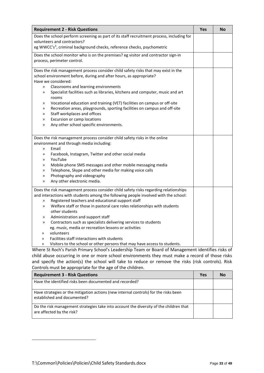| <b>Requirement 2 - Risk Questions</b>                                                                                                                                                            | Yes | <b>No</b> |
|--------------------------------------------------------------------------------------------------------------------------------------------------------------------------------------------------|-----|-----------|
| Does the school perform screening as part of its staff recruitment process, including for                                                                                                        |     |           |
| volunteers and contractors?                                                                                                                                                                      |     |           |
| eg WWCC's <sup>1</sup> , criminal background checks, reference checks, psychometric                                                                                                              |     |           |
| Does the school monitor who is on the premises? eg visitor and contractor sign-in                                                                                                                |     |           |
| process, perimeter control.                                                                                                                                                                      |     |           |
| Does the risk management process consider child safety risks that may exist in the                                                                                                               |     |           |
| school environment before, during and after hours, as appropriate?                                                                                                                               |     |           |
| Have we considered:                                                                                                                                                                              |     |           |
| Classrooms and learning environments<br>$\mathcal{D}$                                                                                                                                            |     |           |
| Specialist facilities such as libraries, kitchens and computer, music and art<br>≫<br>rooms                                                                                                      |     |           |
| Vocational education and training (VET) facilities on campus or off-site<br>≫                                                                                                                    |     |           |
| Recreation areas, playgrounds, sporting facilities on campus and off-site<br>≫                                                                                                                   |     |           |
| Staff workplaces and offices<br>≫                                                                                                                                                                |     |           |
| Excursion or camp locations<br>$\gg$                                                                                                                                                             |     |           |
| Any other school specific environments.<br>$\gg$                                                                                                                                                 |     |           |
|                                                                                                                                                                                                  |     |           |
| Does the risk management process consider child safety risks in the online                                                                                                                       |     |           |
| environment and through media including:                                                                                                                                                         |     |           |
| Email<br>$\mathcal{D}$                                                                                                                                                                           |     |           |
| Facebook, Instagram, Twitter and other social media<br>≫                                                                                                                                         |     |           |
| YouTube<br>≫                                                                                                                                                                                     |     |           |
| Mobile phone SMS messages and other mobile messaging media<br>≫                                                                                                                                  |     |           |
| Telephone, Skype and other media for making voice calls<br>≫                                                                                                                                     |     |           |
| Photography and videography<br>≫                                                                                                                                                                 |     |           |
| Any other electronic media.<br>$\gg$                                                                                                                                                             |     |           |
| Does the risk management process consider child safety risks regarding relationships                                                                                                             |     |           |
| and interactions with students among the following people involved with the school:                                                                                                              |     |           |
| Registered teachers and educational support staff<br>$\gg$                                                                                                                                       |     |           |
| Welfare staff or those in pastoral care roles relationships with students<br>$\mathcal{D}$                                                                                                       |     |           |
| other students                                                                                                                                                                                   |     |           |
| Administration and support staff<br>≫                                                                                                                                                            |     |           |
| Contractors such as specialists delivering services to students<br>$\gg$                                                                                                                         |     |           |
| eg. music, media or recreation lessons or activities                                                                                                                                             |     |           |
| volunteers<br>≫                                                                                                                                                                                  |     |           |
| Facilities staff interactions with students<br>$\mathcal{D}$                                                                                                                                     |     |           |
| Visitors to the school or other persons that may have access to students.<br>$\mathcal{D}$<br>Whore St Book's Barish Brimary School's Loadership Toam or Board of Managament identifies ricks of |     |           |

Where St Roch's Parish Primary School's Leadership Team or Board of Management identifies risks of child abuse occurring in one or more school environments they must make a record of those risks and specify the action(s) the school will take to reduce or remove the risks (risk controls). Risk Controls must be appropriate for the age of the children.

| <b>Requirement 3 - Risk Questions</b>                                                                               | Yes |  |
|---------------------------------------------------------------------------------------------------------------------|-----|--|
| Have the identified risks been documented and recorded?                                                             |     |  |
| Have strategies or the mitigation actions (new internal controls) for the risks been<br>established and documented? |     |  |
| Do the risk management strategies take into account the diversity of the children that<br>are affected by the risk? |     |  |

<span id="page-32-0"></span> $\overline{\phantom{a}}$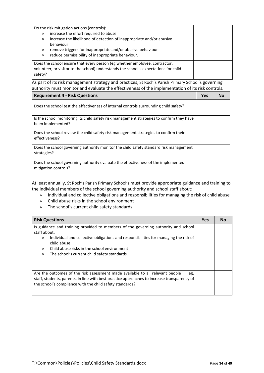| Do the risk mitigation actions (controls):                                                                                                                                    |  |
|-------------------------------------------------------------------------------------------------------------------------------------------------------------------------------|--|
| increase the effort required to abuse<br>$\mathcal{D}$                                                                                                                        |  |
| increase the likelihood of detection of inappropriate and/or abusive<br>$\gg$                                                                                                 |  |
| behaviour                                                                                                                                                                     |  |
| remove triggers for inappropriate and/or abusive behaviour<br>$\gg$                                                                                                           |  |
| reduce permissibility of inappropriate behaviour.<br>$\gg$                                                                                                                    |  |
| Does the school ensure that every person (eg whether employee, contractor,<br>volunteer, or visitor to the school) understands the school's expectations for child<br>safety? |  |

As part of its risk management strategy and practices, St Roch's Parish Primary School's governing authority must monitor and evaluate the effectiveness of the implementation of its risk controls.

| <b>Requirement 4 - Risk Questions</b>                                                                          | <b>Yes</b> | N٥ |
|----------------------------------------------------------------------------------------------------------------|------------|----|
|                                                                                                                |            |    |
| Does the school test the effectiveness of internal controls surrounding child safety?                          |            |    |
| Is the school monitoring its child safety risk management strategies to confirm they have<br>been implemented? |            |    |
| Does the school review the child safety risk management strategies to confirm their<br>effectiveness?          |            |    |
| Does the school governing authority monitor the child safety standard risk management<br>strategies?           |            |    |
| Does the school governing authority evaluate the effectiveness of the implemented<br>mitigation controls?      |            |    |

At least annually, St Roch's Parish Primary School's must provide appropriate guidance and training to the individual members of the school governing authority and school staff about:

- » Individual and collective obligations and responsibilities for managing the risk of child abuse
- » Child abuse risks in the school environment
- » The school's current child safety standards.

| <b>Risk Questions</b>                                                                                                                                                                                                                                                                                                                                      | <b>Yes</b> | <b>No</b> |
|------------------------------------------------------------------------------------------------------------------------------------------------------------------------------------------------------------------------------------------------------------------------------------------------------------------------------------------------------------|------------|-----------|
| Is guidance and training provided to members of the governing authority and school<br>staff about:<br>Individual and collective obligations and responsibilities for managing the risk of<br>$\mathcal{D}$<br>child abuse<br>Child abuse risks in the school environment<br>$\mathcal{P}$<br>The school's current child safety standards.<br>$\mathcal{D}$ |            |           |
| Are the outcomes of the risk assessment made available to all relevant people<br>eg.<br>staff, students, parents, in line with best practice approaches to increase transparency of<br>the school's compliance with the child safety standards?                                                                                                            |            |           |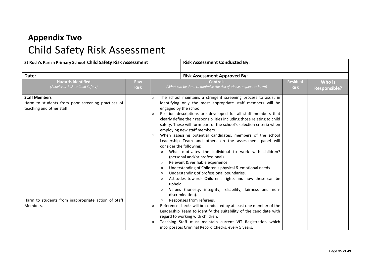# **Appendix Two** Child Safety Risk Assessment

<span id="page-34-0"></span>

| St Roch's Parish Primary School Child Safety Risk Assessment                                                                                                              |                    |                                                                                | <b>Risk Assessment Conducted By:</b>                                                                                                                                                                                                                                                                                                                                                                                                                                                                                                                                                                                                                                                                                                                                                                                                                                                                                                                                                                                                                                                                                                                                                                                                                                                   |                                |                               |
|---------------------------------------------------------------------------------------------------------------------------------------------------------------------------|--------------------|--------------------------------------------------------------------------------|----------------------------------------------------------------------------------------------------------------------------------------------------------------------------------------------------------------------------------------------------------------------------------------------------------------------------------------------------------------------------------------------------------------------------------------------------------------------------------------------------------------------------------------------------------------------------------------------------------------------------------------------------------------------------------------------------------------------------------------------------------------------------------------------------------------------------------------------------------------------------------------------------------------------------------------------------------------------------------------------------------------------------------------------------------------------------------------------------------------------------------------------------------------------------------------------------------------------------------------------------------------------------------------|--------------------------------|-------------------------------|
| Date:                                                                                                                                                                     |                    |                                                                                | <b>Risk Assessment Approved By:</b>                                                                                                                                                                                                                                                                                                                                                                                                                                                                                                                                                                                                                                                                                                                                                                                                                                                                                                                                                                                                                                                                                                                                                                                                                                                    |                                |                               |
| <b>Hazards Identified</b><br>(Activity or Risk to Child Safety)                                                                                                           | Raw<br><b>Risk</b> |                                                                                | <b>Controls</b><br>(What can be done to minimise the risk of abuse, neglect or harm)                                                                                                                                                                                                                                                                                                                                                                                                                                                                                                                                                                                                                                                                                                                                                                                                                                                                                                                                                                                                                                                                                                                                                                                                   | <b>Residual</b><br><b>Risk</b> | Who is<br><b>Responsible?</b> |
| <b>Staff Members</b><br>Harm to students from poor screening practices of<br>teaching and other staff.<br>Harm to students from inappropriate action of Staff<br>Members. |                    | $\gg$<br>$\mathcal{D}$<br>$\mathcal{D}$<br>≫<br>$\gg$<br>upheld.<br>$\gg$<br>≫ | The school maintains a stringent screening process to assist in<br>identifying only the most appropriate staff members will be<br>engaged by the school.<br>Position descriptions are developed for all staff members that<br>clearly define their responsibilities including those relating to child<br>safety. These will form part of the school's selection criteria when<br>employing new staff members.<br>When assessing potential candidates, members of the school<br>Leadership Team and others on the assessment panel will<br>consider the following:<br>What motivates the individual to work with children?<br>(personal and/or professional).<br>Relevant & verifiable experience.<br>Understanding of Children's physical & emotional needs.<br>Understanding of professional boundaries.<br>Attitudes towards Children's rights and how these can be<br>Values (honesty, integrity, reliability, fairness and non-<br>discrimination).<br>Responses from referees.<br>Reference checks will be conducted by at least one member of the<br>Leadership Team to identify the suitability of the candidate with<br>regard to working with children.<br>Teaching Staff must maintain current VIT Registration which<br>incorporates Criminal Record Checks, every 5 years. |                                |                               |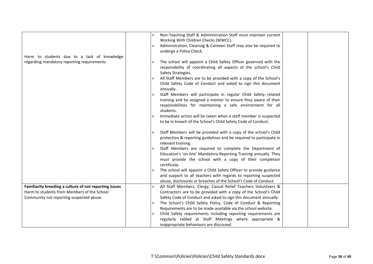|                                                        | Non-Teaching Staff & Administration Staff must maintain current<br>$\mathcal{D}$<br>Working With Children Checks (WWCC).                                                                                                  |  |
|--------------------------------------------------------|---------------------------------------------------------------------------------------------------------------------------------------------------------------------------------------------------------------------------|--|
|                                                        | Administration, Cleaning & Canteen Staff may also be required to<br>$\mathcal{D}$<br>undergo a Police Check.                                                                                                              |  |
| Harm to students due to a lack of knowledge            |                                                                                                                                                                                                                           |  |
| regarding mandatory reporting requirements             | The school will appoint a Child Safety Officer governed with the<br>responsibility of coordinating all aspects of the school's Child<br>Safety Strategies.                                                                |  |
|                                                        | All Staff Members are to be provided with a copy of the School's<br>$\gg$<br>Child Safety Code of Conduct and asked to sign this document<br>annually.                                                                    |  |
|                                                        | Staff Members will participate in regular Child Safety related<br>$\gg$<br>training and be assigned a mentor to ensure they aware of their                                                                                |  |
|                                                        | responsibilities for maintaining a safe environment for all<br>students.                                                                                                                                                  |  |
|                                                        | Immediate action will be taken when a staff member is suspected<br>$\gg$                                                                                                                                                  |  |
|                                                        | to be in breach of the School's Child Safety Code of Conduct.                                                                                                                                                             |  |
|                                                        | Staff Members will be provided with a copy of the school's Child<br>$\lambda$<br>protection & reporting guidelines and be required to participate in<br>relevant training.                                                |  |
|                                                        | Staff Members are required to complete the Department of<br>$\mathcal{D}$<br>Education's 'on-line' Mandatory Reporting Training annually. They<br>must provide the school with a copy of their completion<br>certificate. |  |
|                                                        | The school will appoint a Child Safety Officer to provide guidance<br>and support to all teachers with regards to reporting suspected<br>abuse, disclosures or breaches of the School's Code of Conduct.                  |  |
| Familiarity breeding a culture of not reporting issues | All Staff Members, Clergy, Casual Relief Teachers Volunteers &<br>$\mathcal{D}$                                                                                                                                           |  |
| Harm to students from Members of the School            | Contractors are to be provided with a copy of the School's Child                                                                                                                                                          |  |
| Community not reporting suspected abuse.               | Safety Code of Conduct and asked to sign this document annually.                                                                                                                                                          |  |
|                                                        | The School's Child Safety Policy, Code of Conduct & Reporting<br>$\mathcal{D}$                                                                                                                                            |  |
|                                                        | Requirements are to be made available via the school website.                                                                                                                                                             |  |
|                                                        | Child Safety requirements including reporting requirements are<br>$\mathcal{D}$                                                                                                                                           |  |
|                                                        | regularly tabled at Staff Meetings where appropriate &                                                                                                                                                                    |  |
|                                                        | inappropriate behaviours are discussed.                                                                                                                                                                                   |  |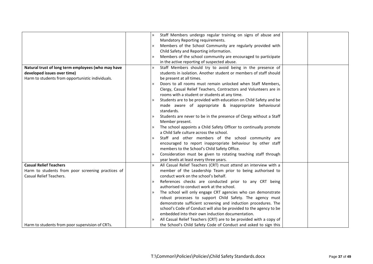|                                                    | $\gg$         | Staff Members undergo regular training on signs of abuse and       |  |
|----------------------------------------------------|---------------|--------------------------------------------------------------------|--|
|                                                    |               | Mandatory Reporting requirements.                                  |  |
|                                                    | $\mathcal{P}$ | Members of the School Community are regularly provided with        |  |
|                                                    |               | Child Safety and Reporting information.                            |  |
|                                                    | $\mathcal{P}$ | Members of the school community are encouraged to participate      |  |
|                                                    |               | in the active reporting of suspected abuse.                        |  |
| Natural trust of long term employees (who may have | $\mathcal{D}$ | Staff Members should try to avoid being in the presence of         |  |
| developed issues over time)                        |               | students in isolation. Another student or members of staff should  |  |
| Harm to students from opportunistic individuals.   |               | be present at all times.                                           |  |
|                                                    | $\gg$         | Doors to all rooms must remain unlocked when Staff Members,        |  |
|                                                    |               | Clergy, Casual Relief Teachers, Contractors and Volunteers are in  |  |
|                                                    |               | rooms with a student or students at any time.                      |  |
|                                                    |               | Students are to be provided with education on Child Safety and be  |  |
|                                                    |               | made aware of appropriate & inappropriate behavioural              |  |
|                                                    |               | standards.                                                         |  |
|                                                    |               | Students are never to be in the presence of Clergy without a Staff |  |
|                                                    |               | Member present.                                                    |  |
|                                                    | $\rightarrow$ | The school appoints a Child Safety Officer to continually promote  |  |
|                                                    |               | a Child Safe culture across the school.                            |  |
|                                                    | $\mathcal{D}$ | Staff and other members of the school community are                |  |
|                                                    |               | encouraged to report inappropriate behaviour by other staff        |  |
|                                                    |               | members to the School's Child Safety Office.                       |  |
|                                                    |               | Consideration must be given to rotating teaching staff through     |  |
|                                                    |               | year levels at least every three years.                            |  |
| <b>Casual Relief Teachers</b>                      | $\mathcal{D}$ | All Casual Relief Teachers (CRT) must attend an interview with a   |  |
| Harm to students from poor screening practices of  |               | member of the Leadership Team prior to being authorised to         |  |
| Casual Relief Teachers.                            |               | conduct work on the school's behalf.                               |  |
|                                                    | $\mathcal{P}$ | References checks are conducted prior to any CRT being             |  |
|                                                    |               | authorised to conduct work at the school.                          |  |
|                                                    | $\rightarrow$ | The school will only engage CRT agencies who can demonstrate       |  |
|                                                    |               | robust processes to support Child Safety. The agency must          |  |
|                                                    |               | demonstrate sufficient screening and induction procedures. The     |  |
|                                                    |               | school's Code of Conduct will also be provided to the agency to be |  |
|                                                    |               | embedded into their own induction documentation.                   |  |
|                                                    |               | All Casual Relief Teachers (CRT) are to be provided with a copy of |  |
| Harm to students from poor supervision of CRTs.    |               | the School's Child Safety Code of Conduct and asked to sign this   |  |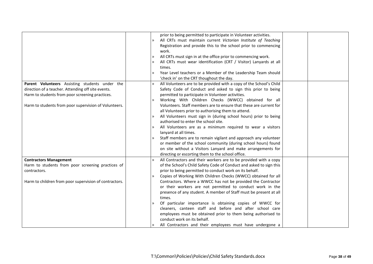|                                                        | $\mathcal{V}$ | prior to being permitted to participate in Volunteer activities.<br>All CRTs must maintain current Victorian Institute of Teaching |  |
|--------------------------------------------------------|---------------|------------------------------------------------------------------------------------------------------------------------------------|--|
|                                                        |               | Registration and provide this to the school prior to commencing<br>work.                                                           |  |
|                                                        | $\gg$         | All CRTs must sign in at the office prior to commencing work.                                                                      |  |
|                                                        | $\mathcal{D}$ | All CRTs must wear identification (CRT / Visitor) Lanyards at all                                                                  |  |
|                                                        |               | times.                                                                                                                             |  |
|                                                        | $\mathcal{D}$ | Year Level teachers or a Member of the Leadership Team should                                                                      |  |
|                                                        |               | 'check in' on the CRT thoughout the day.                                                                                           |  |
| Parent Volunteers Assisting students under the         | $\gg$         | All Volunteers are to be provided with a copy of the School's Child                                                                |  |
| direction of a teacher. Attending off site events.     |               | Safety Code of Conduct and asked to sign this prior to being                                                                       |  |
| Harm to students from poor screening practices.        |               | permitted to participate in Volunteer activities.                                                                                  |  |
|                                                        | $\mathcal{P}$ | Working With Children Checks (WWCC) obtained for all                                                                               |  |
| Harm to students from poor supervision of Volunteers.  |               | Volunteers. Staff members are to ensure that these are current for                                                                 |  |
|                                                        |               | all Volunteers prior to authorising them to attend.                                                                                |  |
|                                                        | $\gg$         | All Volunteers must sign in (during school hours) prior to being                                                                   |  |
|                                                        |               | authorised to enter the school site.                                                                                               |  |
|                                                        | $\gg$         | All Volunteers are as a minimum required to wear a visitors                                                                        |  |
|                                                        |               | lanyard at all times.                                                                                                              |  |
|                                                        | $\mathcal{V}$ | Staff members are to remain vigilant and approach any volunteer                                                                    |  |
|                                                        |               | or member of the school community (during school hours) found                                                                      |  |
|                                                        |               | on site without a Visitors Lanyard and make arrangements for                                                                       |  |
|                                                        |               | directing or escorting them to the school office.                                                                                  |  |
| <b>Contractors Management</b>                          | $\gg$         | All Contractors and their workers are to be provided with a copy                                                                   |  |
| Harm to students from poor screening practices of      |               | of the School's Child Safety Code of Conduct and asked to sign this                                                                |  |
| contractors.                                           |               | prior to being permitted to conduct work on its behalf.                                                                            |  |
|                                                        | $\mathcal{D}$ | Copies of Working With Children Checks (WWCC) obtained for all                                                                     |  |
| Harm to children from poor supervision of contractors. |               | Contractors. Where a WWCC has not be provided the Contractor                                                                       |  |
|                                                        |               | or their workers are not permitted to conduct work in the                                                                          |  |
|                                                        |               | presence of any student. A member of Staff must be present at all                                                                  |  |
|                                                        |               | times.                                                                                                                             |  |
|                                                        | $\mathcal{D}$ | Of particular importance is obtaining copies of WWCC for                                                                           |  |
|                                                        |               | cleaners, canteen staff and before and after school care                                                                           |  |
|                                                        |               | employees must be obtained prior to them being authorised to                                                                       |  |
|                                                        |               | conduct work on its behalf.                                                                                                        |  |
|                                                        |               | All Contractors and their employees must have undergone a                                                                          |  |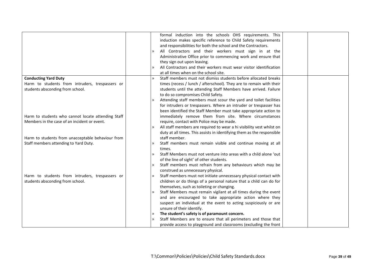|                                                    |               | formal induction into the schools OHS requirements. This                                                                     |  |
|----------------------------------------------------|---------------|------------------------------------------------------------------------------------------------------------------------------|--|
|                                                    |               | induction makes specific reference to Child Safety requirements                                                              |  |
|                                                    |               | and responsibilities for both the school and the Contractors.                                                                |  |
|                                                    | $\rightarrow$ | All Contractors and their workers must sign in at the                                                                        |  |
|                                                    |               | Administrative Office prior to commencing work and ensure that                                                               |  |
|                                                    |               | they sign out upon leaving.                                                                                                  |  |
|                                                    |               | All Contractors and their workers must wear visitor identification                                                           |  |
|                                                    |               | at all times when on the school site.                                                                                        |  |
| <b>Conducting Yard Duty</b>                        | $\mathbf{v}$  | Staff members must not dismiss students before allocated breaks                                                              |  |
| Harm to students from intruders, trespassers or    |               | times (recess / lunch / afterschool). They are to remain with their                                                          |  |
| students absconding from school.                   |               | students until the attending Staff Members have arrived. Failure                                                             |  |
|                                                    |               | to do so compromises Child Safety.                                                                                           |  |
|                                                    | $\rightarrow$ | Attending staff members must scour the yard and toilet facilities                                                            |  |
|                                                    |               | for intruders or trespassers. Where an intruder or trespasser has                                                            |  |
|                                                    |               | been identified the Staff Member must take appropriate action to                                                             |  |
| Harm to students who cannot locate attending Staff |               | immediately remove them from site. Where circumstances                                                                       |  |
| Members in the case of an incident or event.       |               | require, contact with Police may be made.                                                                                    |  |
|                                                    | $\gg$         | All staff members are required to wear a hi visibility vest whilst on                                                        |  |
|                                                    |               | duty at all times. This assists in identifying them as the responsible                                                       |  |
| Harm to students from unacceptable behaviour from  |               | staff member.                                                                                                                |  |
| Staff members attending to Yard Duty.              | $\rightarrow$ | Staff members must remain visible and continue moving at all                                                                 |  |
|                                                    |               | times.                                                                                                                       |  |
|                                                    | $\mathcal{P}$ | Staff Members must not venture into areas with a child alone 'out                                                            |  |
|                                                    |               | of the line of sight' of other students.                                                                                     |  |
|                                                    | $\mathcal{D}$ | Staff members must refrain from any behaviours which may be                                                                  |  |
|                                                    |               | construed as unnecessary physical.                                                                                           |  |
| Harm to students from intruders, trespassers or    | $\gg$         | Staff members must not initiate unnecessary physical contact with                                                            |  |
| students absconding from school.                   |               | children or do things of a personal nature that a child can do for                                                           |  |
|                                                    |               | themselves, such as toileting or changing.                                                                                   |  |
|                                                    | $\gg$         | Staff Members must remain vigilant at all times during the event                                                             |  |
|                                                    |               | and are encouraged to take appropriate action where they<br>suspect an individual at the event to acting suspiciously or are |  |
|                                                    |               | unsure of their identify.                                                                                                    |  |
|                                                    |               | The student's safety is of paramount concern.                                                                                |  |
|                                                    |               | Staff Members are to ensure that all perimeters and those that                                                               |  |
|                                                    |               | provide access to playground and classrooms (excluding the front                                                             |  |
|                                                    |               |                                                                                                                              |  |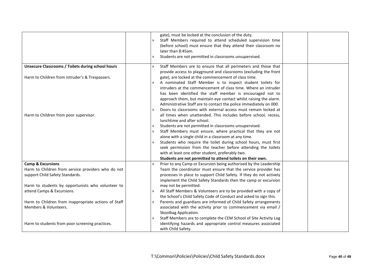|                                                                                    | gate), must be locked at the conclusion of the duty.<br>Staff Members required to attend scheduled supervision time<br>$\mathbf{v}$<br>(before school) must ensure that they attend their classroom no<br>later than 8:45am.<br>Students are not permitted in classrooms unsupervised.<br>$\mathcal{P}$                                                                                                                                                                                                                                                                                                                    |
|------------------------------------------------------------------------------------|----------------------------------------------------------------------------------------------------------------------------------------------------------------------------------------------------------------------------------------------------------------------------------------------------------------------------------------------------------------------------------------------------------------------------------------------------------------------------------------------------------------------------------------------------------------------------------------------------------------------------|
| <b>Unsecure Classrooms / Toilets during school hours</b>                           | Staff Members are to ensure that all perimeters and those that<br>$\mathcal{D}$<br>provide access to playground and classrooms (excluding the front                                                                                                                                                                                                                                                                                                                                                                                                                                                                        |
| Harm to Children from intruder's & Trespassers.                                    | gate), are locked at the commencement of class time.<br>A nominated Staff Member is to inspect student toilets for<br>$\rightarrow$<br>intruders at the commencement of class time. Where an intruder<br>has been identified the staff member is encouraged not to<br>approach them, but maintain eye contact whilst raising the alarm.<br>Administrative Staff are to contact the police immediately on 000.                                                                                                                                                                                                              |
| Harm to Children from poor supervisor.                                             | Doors to classrooms with external access must remain locked at<br>all times when unattended. This includes before school, recess,<br>lunchtime and after school.<br>Students are not permitted in classrooms unsupervised.<br>Staff Members must ensure, where practical that they are not<br>alone with a single child in a classroom at any time.<br>Students who require the toilet during school hours, must first<br>$\mathcal{D}$<br>seek permission from the teacher before attending the toilets<br>with at least one other student, preferably two.<br>Students are not permitted to attend toilets on their own. |
| <b>Camp &amp; Excursions</b><br>Harm to Children from service providers who do not | Prior to any Camp or Excursion being authorised by the Leadership<br>$\mathcal{P}$<br>Team the coordinator must ensure that the service provider has                                                                                                                                                                                                                                                                                                                                                                                                                                                                       |
| support Child Safety Standards.                                                    | processes in place to support Child Safety. If they do not actively<br>implement the Child Safety Standards then the camp or excursion                                                                                                                                                                                                                                                                                                                                                                                                                                                                                     |
| Harm to students by opportunists who volunteer to<br>attend Camps & Excursions.    | may not be permitted.<br>All Staff Members & Volunteers are to be provided with a copy of<br>$\rightarrow$                                                                                                                                                                                                                                                                                                                                                                                                                                                                                                                 |
|                                                                                    | the School's Child Safety Code of Conduct and asked to sign this.                                                                                                                                                                                                                                                                                                                                                                                                                                                                                                                                                          |
| Harm to Children from inappropriate actions of Staff<br>Members & Volunteers.      | Parents and guardians are informed of Child Safety arrangements<br>$\mathcal{P}$<br>associated with the activity prior to commencement via email /<br>Skoolbag Application.                                                                                                                                                                                                                                                                                                                                                                                                                                                |
| Harm to students from poor screening practices.                                    | Staff Members are to complete the CEM School of Site Activity Log<br>$\mathcal{D}$<br>identifying hazards and appropriate control measures associated<br>with Child Safety.                                                                                                                                                                                                                                                                                                                                                                                                                                                |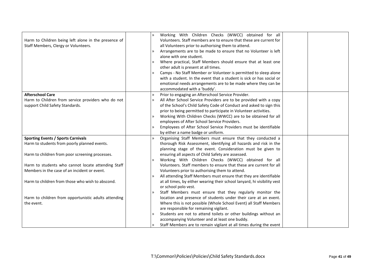|                                                      | $\mathcal{D}$ | Working With Children Checks (WWCC) obtained for all                     |  |
|------------------------------------------------------|---------------|--------------------------------------------------------------------------|--|
| Harm to Children being left alone in the presence of |               | Volunteers. Staff members are to ensure that these are current for       |  |
| Staff Members, Clergy or Volunteers.                 |               | all Volunteers prior to authorising them to attend.                      |  |
|                                                      | $\gg$         | Arrangements are to be made to ensure that no Volunteer is left          |  |
|                                                      |               | alone with one student.                                                  |  |
|                                                      | $\mathcal{D}$ | Where practical, Staff Members should ensure that at least one           |  |
|                                                      |               | other adult is present at all times.                                     |  |
|                                                      | $\mathcal{D}$ | Camps - No Staff Member or Volunteer is permitted to sleep alone         |  |
|                                                      |               | with a student. In the event that a student is sick or has social or     |  |
|                                                      |               | emotional needs arrangements are to be made where they can be            |  |
|                                                      |               | accommodated with a 'buddy'.                                             |  |
| <b>Afterschool Care</b>                              | $\gg$         | Prior to engaging an Afterschool Service Provider.                       |  |
| Harm to Children from service providers who do not   | $\gg$         | All After School Service Providers are to be provided with a copy        |  |
| support Child Safety Standards.                      |               | of the School's Child Safety Code of Conduct and asked to sign this      |  |
|                                                      |               | prior to being permitted to participate in Volunteer activities.         |  |
|                                                      | $\gg$         | Working With Children Checks (WWCC) are to be obtained for all           |  |
|                                                      |               | employees of After School Service Providers.                             |  |
|                                                      | $\gg$         | Employees of After School Service Providers must be identifiable         |  |
|                                                      |               | by either a name badge or uniform.                                       |  |
| <b>Sporting Events / Sports Carnivals</b>            | $\mathcal{D}$ | Organising Staff Members must ensure that they conducted a               |  |
| Harm to students from poorly planned events.         |               | thorough Risk Assessment, identifying all hazards and risk in the        |  |
|                                                      |               | planning stage of the event. Consideration must be given to              |  |
| Harm to children from poor screening processes.      |               | ensuring all aspects of Child Safety are assessed.                       |  |
|                                                      | $\mathcal{D}$ | Working With Children Checks (WWCC) obtained for all                     |  |
| Harm to students who cannot locate attending Staff   |               | Volunteers. Staff members to ensure that these are current for all       |  |
| Members in the case of an incident or event.         |               | Volunteers prior to authorising them to attend.                          |  |
|                                                      | $\gg$         | All attending Staff Members must ensure that they are identifiable       |  |
| Harm to children from those who wish to abscond.     |               | at all times, by either wearing their school lanyard, hi visibility vest |  |
|                                                      |               | or school polo vest.                                                     |  |
|                                                      | $\gg$         | Staff Members must ensure that they regularly monitor the                |  |
| Harm to children from opportunistic adults attending |               | location and presence of students under their care at an event.          |  |
| the event.                                           |               | Where this is not possible (Whole School Event) all Staff Members        |  |
|                                                      |               | are responsible for remaining vigilant.                                  |  |
|                                                      | $\mathcal{P}$ | Students are not to attend toilets or other buildings without an         |  |
|                                                      |               | accompanying Volunteer and at least one buddy.                           |  |
|                                                      |               | Staff Members are to remain vigilant at all times during the event       |  |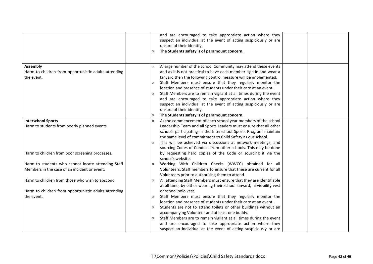|                                                                                                    | and are encouraged to take appropriate action where they<br>suspect an individual at the event of acting suspiciously or are<br>unsure of their identify.<br>The Students safety is of paramount concern.                                                                                                                                                                                                                                                                                                                                                                                                                          |
|----------------------------------------------------------------------------------------------------|------------------------------------------------------------------------------------------------------------------------------------------------------------------------------------------------------------------------------------------------------------------------------------------------------------------------------------------------------------------------------------------------------------------------------------------------------------------------------------------------------------------------------------------------------------------------------------------------------------------------------------|
| Assembly<br>Harm to children from opportunistic adults attending<br>the event.                     | A large number of the School Community may attend these events<br>and as it is not practical to have each member sign in and wear a<br>lanyard then the following control measure will be implemented.<br>Staff Members must ensure that they regularly monitor the<br>location and presence of students under their care at an event.<br>Staff Members are to remain vigilant at all times during the event<br>and are encouraged to take appropriate action where they<br>suspect an individual at the event of acting suspiciously or are<br>unsure of their identify.<br>The Students safety is of paramount concern.<br>$\gg$ |
| <b>Interschool Sports</b><br>Harm to students from poorly planned events.                          | At the commencement of each school year members of the school<br>Leadership Team and all Sports Leaders must ensure that all other<br>schools participating in the Interschool Sports Program maintain<br>the same level of commitment to Child Safety as our school.<br>This will be achieved via discussions at network meetings, and<br>$\mathcal{P}$<br>sourcing Codes of Conduct from other schools. This may be done                                                                                                                                                                                                         |
| Harm to children from poor screening processes.                                                    | by requesting hard copies of the Code or sourcing it via the<br>school's website.                                                                                                                                                                                                                                                                                                                                                                                                                                                                                                                                                  |
| Harm to students who cannot locate attending Staff<br>Members in the case of an incident or event. | Working With Children Checks (WWCC) obtained for all<br>$\gg$<br>Volunteers. Staff members to ensure that these are current for all<br>Volunteers prior to authorising them to attend.                                                                                                                                                                                                                                                                                                                                                                                                                                             |
| Harm to children from those who wish to abscond.                                                   | All attending Staff Members must ensure that they are identifiable<br>$\mathcal{P}$<br>at all time, by either wearing their school lanyard, hi visibility vest                                                                                                                                                                                                                                                                                                                                                                                                                                                                     |
| Harm to children from opportunistic adults attending<br>the event.                                 | or school polo vest.<br>Staff Members must ensure that they regularly monitor the<br>$\gg$<br>location and presence of students under their care at an event.<br>Students are not to attend toilets or other buildings without an<br>$\mathcal{P}$<br>accompanying Volunteer and at least one buddy.<br>Staff Members are to remain vigilant at all times during the event<br>$\gg$                                                                                                                                                                                                                                                |
|                                                                                                    | and are encouraged to take appropriate action where they<br>suspect an individual at the event of acting suspiciously or are                                                                                                                                                                                                                                                                                                                                                                                                                                                                                                       |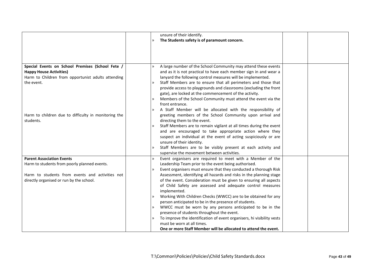|                                                      | unsure of their identify.                                                           |
|------------------------------------------------------|-------------------------------------------------------------------------------------|
|                                                      | The Students safety is of paramount concern.<br>$\mathcal{P}$                       |
|                                                      |                                                                                     |
|                                                      |                                                                                     |
|                                                      |                                                                                     |
|                                                      |                                                                                     |
| Special Events on School Premises (School Fete /     | A large number of the School Community may attend these events                      |
| <b>Happy House Activities)</b>                       | and as it is not practical to have each member sign in and wear a                   |
| Harm to Children from opportunist adults attending   | lanyard the following control measures will be implemented.                         |
| the event.                                           | Staff Members are to ensure that all perimeters and those that<br>$\gg$             |
|                                                      | provide access to playgrounds and classrooms (excluding the front                   |
|                                                      | gate), are locked at the commencement of the activity.                              |
|                                                      | Members of the School Community must attend the event via the                       |
|                                                      | front entrance.                                                                     |
|                                                      | A Staff Member will be allocated with the responsibility of<br>$\rightarrow$        |
| Harm to children due to difficulty in monitoring the | greeting members of the School Community upon arrival and                           |
| students.                                            | directing them to the event.                                                        |
|                                                      | Staff Members are to remain vigilant at all times during the event<br>$\rightarrow$ |
|                                                      | and are encouraged to take appropriate action where they                            |
|                                                      | suspect an individual at the event of acting suspiciously or are                    |
|                                                      | unsure of their identity.                                                           |
|                                                      | Staff Members are to be visibly present at each activity and                        |
|                                                      | supervise the movement between activities.                                          |
| <b>Parent Association Events</b>                     | Event organisers are required to meet with a Member of the<br>$\mathbf{v}$          |
| Harm to students from poorly planned events.         | Leadership Team prior to the event being authorised.                                |
|                                                      | Event organisers must ensure that they conducted a thorough Risk<br>$\mathcal{P}$   |
| Harm to students from events and activities not      | Assessment, identifying all hazards and risks in the planning stage                 |
| directly organised or run by the school.             | of the event. Consideration must be given to ensuring all aspects                   |
|                                                      | of Child Safety are assessed and adequate control measures                          |
|                                                      | implemented.                                                                        |
|                                                      | Working With Children Checks (WWCC) are to be obtained for any<br>$\gg$             |
|                                                      | person anticipated to be in the presence of students.                               |
|                                                      | WWCC must be worn by any persons anticipated to be in the<br>$\gg$                  |
|                                                      | presence of students throughout the event.                                          |
|                                                      | To improve the identification of event organisers, hi visibility vests<br>$\gg$     |
|                                                      | must be worn at all times.                                                          |
|                                                      | One or more Staff Member will be allocated to attend the event.                     |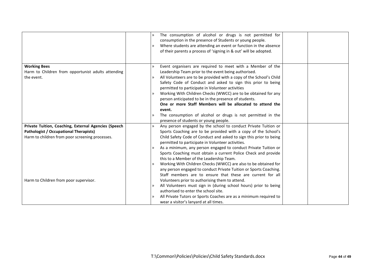|                                                      | The consumption of alcohol or drugs is not permitted for<br>$\mathcal{D}$<br>consumption in the presence of Students or young people.<br>Where students are attending an event or function in the absence<br>$\mathcal{P}$<br>of their parents a process of 'signing in & out' will be adopted. |  |
|------------------------------------------------------|-------------------------------------------------------------------------------------------------------------------------------------------------------------------------------------------------------------------------------------------------------------------------------------------------|--|
| <b>Working Bees</b>                                  | Event organisers are required to meet with a Member of the<br>$\mathcal{D}$                                                                                                                                                                                                                     |  |
| Harm to Children from opportunist adults attending   | Leadership Team prior to the event being authorised.                                                                                                                                                                                                                                            |  |
| the event.                                           | All Volunteers are to be provided with a copy of the School's Child<br>$\gg$                                                                                                                                                                                                                    |  |
|                                                      | Safety Code of Conduct and asked to sign this prior to being<br>permitted to participate in Volunteer activities                                                                                                                                                                                |  |
|                                                      | Working With Children Checks (WWCC) are to be obtained for any                                                                                                                                                                                                                                  |  |
|                                                      | person anticipated to be in the presence of students.                                                                                                                                                                                                                                           |  |
|                                                      | One or more Staff Members will be allocated to attend the                                                                                                                                                                                                                                       |  |
|                                                      | event.                                                                                                                                                                                                                                                                                          |  |
|                                                      | The consumption of alcohol or drugs is not permitted in the<br>presence of students or young people.                                                                                                                                                                                            |  |
| Private Tuition, Coaching, External Agencies (Speech | Any person engaged by the school to conduct Private Tuition or<br>$\mathcal{D}$                                                                                                                                                                                                                 |  |
| <b>Pathologist / Occupational Therapists)</b>        | Sports Coaching are to be provided with a copy of the School's                                                                                                                                                                                                                                  |  |
| Harm to children from poor screening processes.      | Child Safety Code of Conduct and asked to sign this prior to being<br>permitted to participate in Volunteer activities.                                                                                                                                                                         |  |
|                                                      | As a minimum, any person engaged to conduct Private Tuition or<br>$\gg$                                                                                                                                                                                                                         |  |
|                                                      | Sports Coaching must obtain a current Police Check and provide                                                                                                                                                                                                                                  |  |
|                                                      | this to a Member of the Leadership Team.                                                                                                                                                                                                                                                        |  |
|                                                      | Working With Children Checks (WWCC) are also to be obtained for<br>$\mathcal{P}$                                                                                                                                                                                                                |  |
|                                                      | any person engaged to conduct Private Tuition or Sports Coaching.                                                                                                                                                                                                                               |  |
|                                                      | Staff members are to ensure that these are current for all                                                                                                                                                                                                                                      |  |
| Harm to Children from poor supervisor.               | Volunteers prior to authorising them to attend.                                                                                                                                                                                                                                                 |  |
|                                                      | All Volunteers must sign in (during school hours) prior to being<br>$\gg$<br>authorised to enter the school site.                                                                                                                                                                               |  |
|                                                      | All Private Tutors or Sports Coaches are as a minimum required to                                                                                                                                                                                                                               |  |
|                                                      | wear a visitor's lanyard at all times.                                                                                                                                                                                                                                                          |  |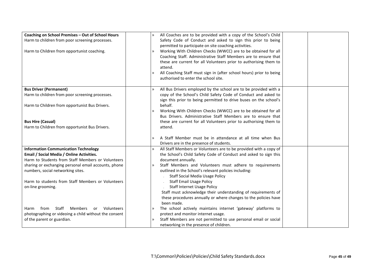| Coaching on School Premises - Out of School Hours<br>Harm to children from poor screening processes.<br>Harm to Children from opportunist coaching.                                                                                                                                                                  | All Coaches are to be provided with a copy of the School's Child<br>$\mathcal{D}$<br>Safety Code of Conduct and asked to sign this prior to being<br>permitted to participate on site coaching activities.<br>Working With Children Checks (WWCC) are to be obtained for all<br>$\mathcal{D}$<br>Coaching Staff. Administrative Staff Members are to ensure that<br>these are current for all Volunteers prior to authorising them to<br>attend.<br>All Coaching Staff must sign in (after school hours) prior to being<br>$\mathcal{D}$<br>authorised to enter the school site.        |
|----------------------------------------------------------------------------------------------------------------------------------------------------------------------------------------------------------------------------------------------------------------------------------------------------------------------|-----------------------------------------------------------------------------------------------------------------------------------------------------------------------------------------------------------------------------------------------------------------------------------------------------------------------------------------------------------------------------------------------------------------------------------------------------------------------------------------------------------------------------------------------------------------------------------------|
| <b>Bus Driver (Permanent)</b><br>Harm to children from poor screening processes.<br>Harm to Children from opportunist Bus Drivers.<br><b>Bus Hire (Casual)</b><br>Harm to Children from opportunist Bus Drivers.                                                                                                     | All Bus Drivers employed by the school are to be provided with a<br>$\lambda$<br>copy of the School's Child Safety Code of Conduct and asked to<br>sign this prior to being permitted to drive buses on the school's<br>behalf.<br>Working With Children Checks (WWCC) are to be obtained for all<br>$\mathcal{D}$<br>Bus Drivers. Administrative Staff Members are to ensure that<br>these are current for all Volunteers prior to authorising them to<br>attend.                                                                                                                      |
|                                                                                                                                                                                                                                                                                                                      | A Staff Member must be in attendance at all time when Bus<br>$\mathcal{D}$<br>Drivers are in the presence of students.                                                                                                                                                                                                                                                                                                                                                                                                                                                                  |
| <b>Information Communication Technology</b><br>Email / Social Media / Online Activities.<br>Harm to Students from Staff Members or Volunteers<br>sharing or exchanging personal email accounts, phone<br>numbers, social networking sites.<br>Harm to students from Staff Members or Volunteers<br>on-line grooming. | All Staff Members or Volunteers are to be provided with a copy of<br>$\mathcal{D}$<br>the School's Child Safety Code of Conduct and asked to sign this<br>document annually.<br>Staff Members and Volunteers must adhere to requirements<br>$\mathcal{D}$<br>outlined in the School's relevant policies including:<br><b>Staff Social Media Usage Policy</b><br><b>Staff Email Usage Policy</b><br><b>Staff Internet Usage Policy</b><br>Staff must acknowledge their understanding of requirements of<br>these procedures annually or where changes to the policies have<br>been made. |
| Staff<br>Members<br>Volunteers<br>from<br>Harm<br>or<br>photographing or videoing a child without the consent<br>of the parent or guardian.                                                                                                                                                                          | The school actively maintains internet 'gateway' platforms to<br>$\mathcal{D}$<br>protect and monitor internet usage.<br>Staff Members are not permitted to use personal email or social<br>$\mathcal{D}$<br>networking in the presence of children.                                                                                                                                                                                                                                                                                                                                    |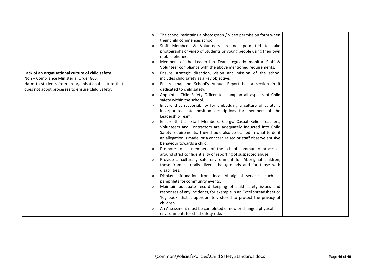|                                                      |               | The school maintains a photograph / Video permission form when      |  |
|------------------------------------------------------|---------------|---------------------------------------------------------------------|--|
|                                                      |               | their child commences school.                                       |  |
|                                                      | $\gg$         | Staff Members & Volunteers are not permitted to take                |  |
|                                                      |               | photographs or video of Students or young people using their own    |  |
|                                                      |               | mobile phones.                                                      |  |
|                                                      |               | Members of the Leadership Team regularly monitor Staff &            |  |
|                                                      |               | Volunteer compliance with the above mentioned requirements.         |  |
| Lack of an organisational culture of child safety    | $\mathcal{D}$ | Ensure strategic direction, vision and mission of the school        |  |
| Non - Compliance Ministerial Order 806.              |               | includes child safety as a key objective.                           |  |
| Harm to students from an organisational culture that | $\mathcal{D}$ | Ensure that the School's Annual Report has a section in it          |  |
| does not adopt processes to ensure Child Safety.     |               | dedicated to child safety.                                          |  |
|                                                      | $\mathcal{D}$ | Appoint a Child Safety Officer to champion all aspects of Child     |  |
|                                                      |               | safety within the school.                                           |  |
|                                                      |               | Ensure that responsibility for embedding a culture of safety is     |  |
|                                                      |               | incorporated into position descriptions for members of the          |  |
|                                                      |               | Leadership Team.                                                    |  |
|                                                      |               | Ensure that all Staff Members, Clergy, Casual Relief Teachers,      |  |
|                                                      |               | Volunteers and Contractors are adequately inducted into Child       |  |
|                                                      |               | Safety requirements. They should also be trained in what to do if   |  |
|                                                      |               | an allegation is made, or a concern raised or staff observe abusive |  |
|                                                      |               | behaviour towards a child.                                          |  |
|                                                      |               | Promote to all members of the school community processes            |  |
|                                                      |               | around strict confidentiality of reporting of suspected abuse.      |  |
|                                                      | $\mathcal{D}$ | Provide a culturally safe environment for Aboriginal children,      |  |
|                                                      |               | those from culturally diverse backgrounds and for those with        |  |
|                                                      |               | disabilities.                                                       |  |
|                                                      |               | Display information from local Aboriginal services, such as         |  |
|                                                      |               | pamphlets for community events.                                     |  |
|                                                      | $\gg$         | Maintain adequate record keeping of child safety issues and         |  |
|                                                      |               | responses of any incidents, for example in an Excel spreadsheet or  |  |
|                                                      |               | 'log book' that is appropriately stored to protect the privacy of   |  |
|                                                      |               | children.                                                           |  |
|                                                      |               | An Assessment must be completed of new or changed physical          |  |
|                                                      |               | environments for child safety risks                                 |  |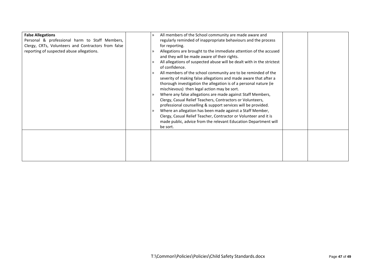| <b>False Allegations</b>                            | All members of the School community are made aware and<br>$\mathcal{D}$ |
|-----------------------------------------------------|-------------------------------------------------------------------------|
| Personal & professional harm to Staff Members,      | regularly reminded of inappropriate behaviours and the process          |
| Clergy, CRTs, Volunteers and Contractors from false | for reporting.                                                          |
| reporting of suspected abuse allegations.           | Allegations are brought to the immediate attention of the accused       |
|                                                     | and they will be made aware of their rights.                            |
|                                                     | All allegations of suspected abuse will be dealt with in the strictest  |
|                                                     | of confidence.                                                          |
|                                                     | All members of the school community are to be reminded of the           |
|                                                     | severity of making false allegations and made aware that after a        |
|                                                     | thorough investigation the allegation is of a personal nature (ie       |
|                                                     | mischievous) then legal action may be sort.                             |
|                                                     | Where any false allegations are made against Staff Members,<br>≫        |
|                                                     | Clergy, Casual Relief Teachers, Contractors or Volunteers,              |
|                                                     | professional counselling & support services will be provided.           |
|                                                     | Where an allegation has been made against a Staff Member,               |
|                                                     |                                                                         |
|                                                     | Clergy, Casual Relief Teacher, Contractor or Volunteer and it is        |
|                                                     | made public, advice from the relevant Education Department will         |
|                                                     | be sort.                                                                |
|                                                     |                                                                         |
|                                                     |                                                                         |
|                                                     |                                                                         |
|                                                     |                                                                         |
|                                                     |                                                                         |
|                                                     |                                                                         |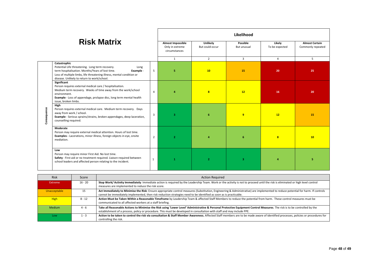|                    |                                                                                                                                                                                                                                                                  | Likelihood     |                                                       |                             |                         |                          |                                            |
|--------------------|------------------------------------------------------------------------------------------------------------------------------------------------------------------------------------------------------------------------------------------------------------------|----------------|-------------------------------------------------------|-----------------------------|-------------------------|--------------------------|--------------------------------------------|
| <b>Risk Matrix</b> |                                                                                                                                                                                                                                                                  |                | Almost Impossible<br>Only in extreme<br>circumstances | Unlikely<br>But could occur | Possible<br>But unusual | Likely<br>To be expected | <b>Almost Certain</b><br>Commonly repeated |
|                    |                                                                                                                                                                                                                                                                  | $\mathbf{1}$   | $\overline{2}$                                        | 3                           | $\overline{4}$          | 5                        |                                            |
| Consequence        | Catastrophic<br>Potential Life threatening. Long term recovery.<br>Long<br>term hospitalisation. Months/Years of lost time.<br>Example -<br>Loss of multiple limbs, life threatening illness, mental condition or<br>disease. Unlikely to return to work/school. | 5              | 5                                                     | 10                          | 15                      | 20                       | 25                                         |
|                    | Significant<br>Person requires external medical care / hospitalisation.<br>Medium term recovery. Weeks of time away from the work/school<br>environment.<br>Example - Loss of appendage, prolapse disc, long term mental health<br>issue, broken limbs.          | $\overline{a}$ | $\Delta$                                              | $\overline{\mathbf{8}}$     | 12                      | 16                       | 20                                         |
|                    | High<br>Person requires external medical care. Medium term recovery. Days<br>away from work / school.<br>Example - Serious sprains/strains, broken appendages, deep laceration,<br>counselling required.                                                         | $\overline{3}$ | 3                                                     | 6                           | 9                       | 12                       | 15                                         |
|                    | Moderate<br>Person may require external medical attention. Hours of lost time.<br>Examples - Lacerations, minor illness, foreign objects in eye, onsite<br>mediation.                                                                                            |                | $\overline{2}$                                        | Δ                           | 6                       | $\overline{\mathbf{8}}$  | 10                                         |
|                    | Low<br>Person may require minor First Aid. No lost time.<br>Safety - First aid or no treatment required. Liaison required between<br>school leaders and affected person relating to the incident.                                                                | $\mathbf{1}$   | $\mathbf{1}$                                          | $\overline{2}$              | -3.                     | $\Delta$                 | 5                                          |

| <b>Risk</b>  | Score     | <b>Action Required</b>                                                                                                                                                                                                                                                                                 |
|--------------|-----------|--------------------------------------------------------------------------------------------------------------------------------------------------------------------------------------------------------------------------------------------------------------------------------------------------------|
| Extreme      | $16 - 20$ | Stop Work/ Activity Immediately: Immediate action is required by the Leadership Team. Work or the activity is not to proceed until the risk is eliminated or high level control<br>measures are implemented to reduce the risk score.                                                                  |
| Unacceptable | 15        | Act Immediately to Minimise the Risk: Ensure appropriate control measures (Substitution, Engineering & Administrative) are implemented to reduce potential for harm. If controls<br>cannot be immediately implemented, then risk reduction strategies need to be identified as soon as is practicable. |
| <b>High</b>  | $8 - 12$  | Action Must be Taken Within a Reasonable Timeframe by Leadership Team & affected Staff Members to reduce the potential from harm. These control measures must be<br>communicated to all affected workers at a staff briefing.                                                                          |
| Medium       | 4 - 6     | Take all Reasonable Actions to Minimise the Risk using 'Lower Level' Administrative & Personal Protective Equipment Control Measures. The risk is to be controlled by the<br>establishment of a process, policy or procedure. This must be developed in consultation with staff and may include PPE.   |
| Low          | 1 - 3     | Action to be taken to control the risk via consultation & Staff Member Awareness. Affected Staff members are to be made aware of identified processes, policies or procedures for<br>controlling the risk.                                                                                             |